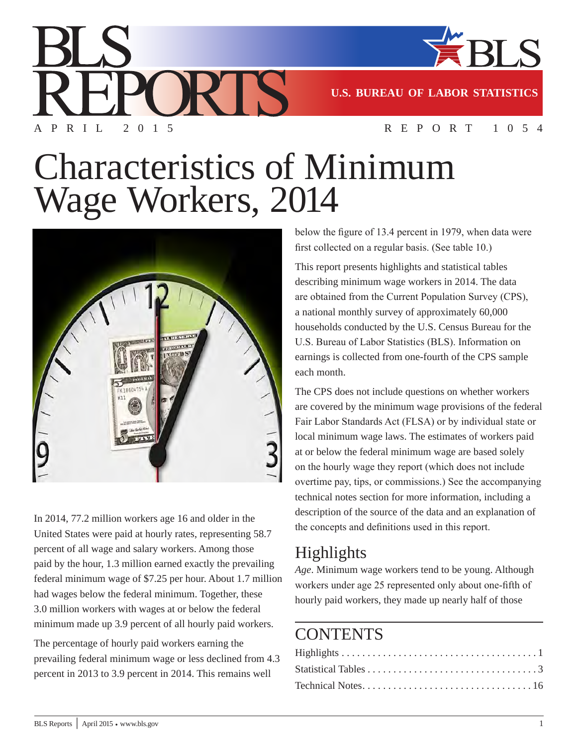

**U.S. BUREAU OF LABOR STATISTICS**

APRIL 2015 REPORT 1054

# Characteristics of Minimum Wage Workers, 2014

215



In 2014, 77.2 million workers age 16 and older in the United States were paid at hourly rates, representing 58.7 percent of all wage and salary workers. Among those paid by the hour, 1.3 million earned exactly the prevailing federal minimum wage of \$7.25 per hour. About 1.7 million had wages below the federal minimum. Together, these 3.0 million workers with wages at or below the federal minimum made up 3.9 percent of all hourly paid workers.

The percentage of hourly paid workers earning the prevailing federal minimum wage or less declined from 4.3 percent in 2013 to 3.9 percent in 2014. This remains well

below the figure of 13.4 percent in 1979, when data were first collected on a regular basis. (See table 10.)

This report presents highlights and statistical tables describing minimum wage workers in 2014. The data are obtained from the Current Population Survey (CPS), a national monthly survey of approximately 60,000 households conducted by the U.S. Census Bureau for the U.S. Bureau of Labor Statistics (BLS). Information on earnings is collected from one-fourth of the CPS sample each month.

The CPS does not include questions on whether workers are covered by the minimum wage provisions of the federal Fair Labor Standards Act (FLSA) or by individual state or local minimum wage laws. The estimates of workers paid at or below the federal minimum wage are based solely on the hourly wage they report (which does not include overtime pay, tips, or commissions.) See the accompanying technical notes section for more information, including a description of the source of the data and an explanation of the concepts and definitions used in this report.

## Highlights

*Age*. Minimum wage workers tend to be young. Although workers under age 25 represented only about one-fifth of hourly paid workers, they made up nearly half of those

## **CONTENTS**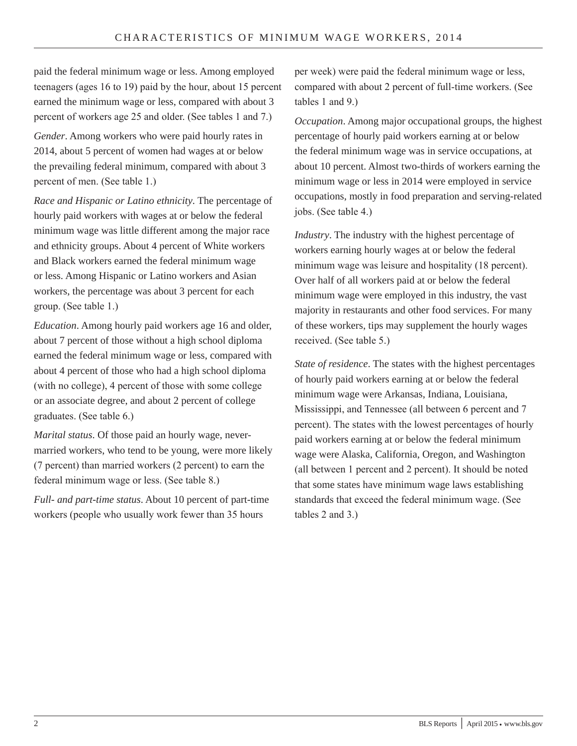paid the federal minimum wage or less. Among employed teenagers (ages 16 to 19) paid by the hour, about 15 percent earned the minimum wage or less, compared with about 3 percent of workers age 25 and older. (See tables 1 and 7.)

*Gender*. Among workers who were paid hourly rates in 2014, about 5 percent of women had wages at or below the prevailing federal minimum, compared with about 3 percent of men. (See table 1.)

*Race and Hispanic or Latino ethnicity*. The percentage of hourly paid workers with wages at or below the federal minimum wage was little different among the major race and ethnicity groups. About 4 percent of White workers and Black workers earned the federal minimum wage or less. Among Hispanic or Latino workers and Asian workers, the percentage was about 3 percent for each group. (See table 1.)

*Education*. Among hourly paid workers age 16 and older, about 7 percent of those without a high school diploma earned the federal minimum wage or less, compared with about 4 percent of those who had a high school diploma (with no college), 4 percent of those with some college or an associate degree, and about 2 percent of college graduates. (See table 6.)

*Marital status*. Of those paid an hourly wage, nevermarried workers, who tend to be young, were more likely (7 percent) than married workers (2 percent) to earn the federal minimum wage or less. (See table 8.)

*Full- and part-time status*. About 10 percent of part-time workers (people who usually work fewer than 35 hours

per week) were paid the federal minimum wage or less, compared with about 2 percent of full-time workers. (See tables 1 and 9.)

*Occupation*. Among major occupational groups, the highest percentage of hourly paid workers earning at or below the federal minimum wage was in service occupations, at about 10 percent. Almost two-thirds of workers earning the minimum wage or less in 2014 were employed in service occupations, mostly in food preparation and serving-related jobs. (See table 4.)

*Industry*. The industry with the highest percentage of workers earning hourly wages at or below the federal minimum wage was leisure and hospitality (18 percent). Over half of all workers paid at or below the federal minimum wage were employed in this industry, the vast majority in restaurants and other food services. For many of these workers, tips may supplement the hourly wages received. (See table 5.)

*State of residence*. The states with the highest percentages of hourly paid workers earning at or below the federal minimum wage were Arkansas, Indiana, Louisiana, Mississippi, and Tennessee (all between 6 percent and 7 percent). The states with the lowest percentages of hourly paid workers earning at or below the federal minimum wage were Alaska, California, Oregon, and Washington (all between 1 percent and 2 percent). It should be noted that some states have minimum wage laws establishing standards that exceed the federal minimum wage. (See tables 2 and 3.)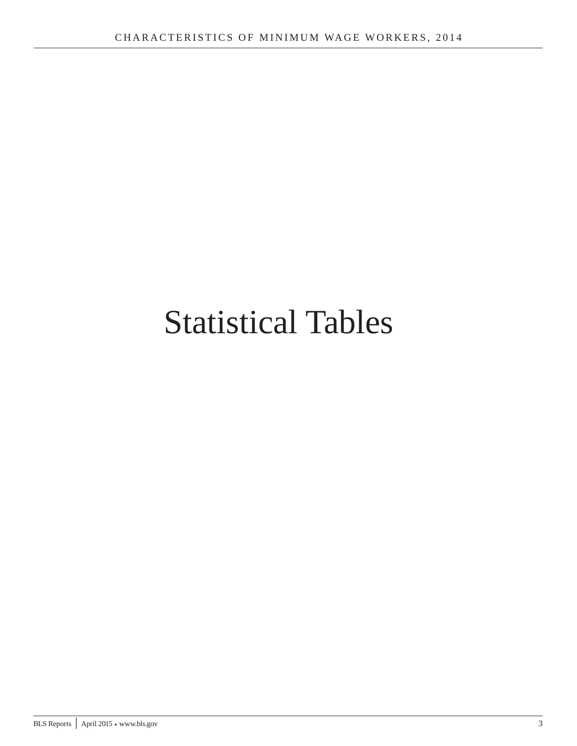## Statistical Tables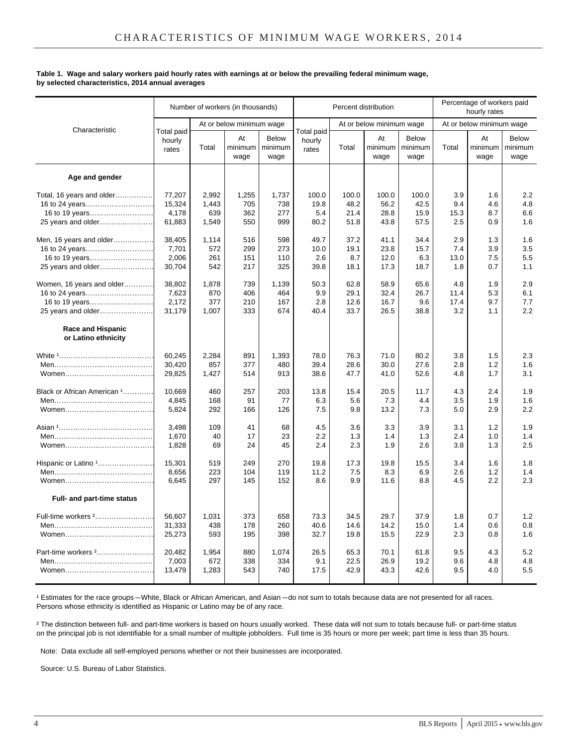#### **Table 1. Wage and salary workers paid hourly rates with earnings at or below the prevailing federal minimum wage, by selected characteristics, 2014 annual averages**

|                                                 |                                      |       | Number of workers (in thousands) |                                 |                               |       | Percent distribution     |                                 |       | Percentage of workers paid<br>hourly rates |                                 |
|-------------------------------------------------|--------------------------------------|-------|----------------------------------|---------------------------------|-------------------------------|-------|--------------------------|---------------------------------|-------|--------------------------------------------|---------------------------------|
| Characteristic                                  |                                      |       | At or below minimum wage         |                                 |                               |       | At or below minimum wage |                                 |       | At or below minimum wage                   |                                 |
|                                                 | <b>Total paid</b><br>hourly<br>rates | Total | At<br>minimum<br>wage            | <b>Below</b><br>minimum<br>wage | Total paid<br>hourly<br>rates | Total | At<br>minimum<br>wage    | <b>Below</b><br>minimum<br>wage | Total | At<br>minimum<br>wage                      | <b>Below</b><br>minimum<br>wage |
| Age and gender                                  |                                      |       |                                  |                                 |                               |       |                          |                                 |       |                                            |                                 |
| Total, 16 years and older                       | 77,207                               | 2.992 | 1,255                            | 1,737                           | 100.0                         | 100.0 | 100.0                    | 100.0                           | 3.9   | 1.6                                        | 2.2                             |
| 16 to 24 years                                  | 15,324                               | 1,443 | 705                              | 738                             | 19.8                          | 48.2  | 56.2                     | 42.5                            | 9.4   | 4.6                                        | 4.8                             |
| 16 to 19 years                                  | 4,178                                | 639   | 362                              | 277                             | 5.4                           | 21.4  | 28.8                     | 15.9                            | 15.3  | 8.7                                        | 6.6                             |
| 25 years and older                              | 61,883                               | 1,549 | 550                              | 999                             | 80.2                          | 51.8  | 43.8                     | 57.5                            | 2.5   | 0.9                                        | 1.6                             |
| Men, 16 years and older                         | 38,405                               | 1,114 | 516                              | 598                             | 49.7                          | 37.2  | 41.1                     | 34.4                            | 2.9   | 1.3                                        | 1.6                             |
|                                                 | 7,701                                | 572   | 299                              | 273                             | 10.0                          | 19.1  | 23.8                     | 15.7                            | 7.4   | 3.9                                        | 3.5                             |
| 16 to 19 years                                  | 2,006                                | 261   | 151                              | 110                             | 2.6                           | 8.7   | 12.0                     | 6.3                             | 13.0  | 7.5                                        | 5.5                             |
| 25 years and older                              | 30,704                               | 542   | 217                              | 325                             | 39.8                          | 18.1  | 17.3                     | 18.7                            | 1.8   | 0.7                                        | 1.1                             |
| Women, 16 years and older                       | 38,802                               | 1,878 | 739                              | 1,139                           | 50.3                          | 62.8  | 58.9                     | 65.6                            | 4.8   | 1.9                                        | 2.9                             |
| 16 to 24 years                                  | 7,623                                | 870   | 406                              | 464                             | 9.9                           | 29.1  | 32.4                     | 26.7                            | 11.4  | 5.3                                        | 6.1                             |
| 16 to 19 years                                  | 2,172                                | 377   | 210                              | 167                             | 2.8                           | 12.6  | 16.7                     | 9.6                             | 17.4  | 9.7                                        | 7.7                             |
| 25 years and older                              | 31,179                               | 1,007 | 333                              | 674                             | 40.4                          | 33.7  | 26.5                     | 38.8                            | 3.2   | 1.1                                        | 2.2                             |
| <b>Race and Hispanic</b><br>or Latino ethnicity |                                      |       |                                  |                                 |                               |       |                          |                                 |       |                                            |                                 |
|                                                 | 60,245                               | 2,284 | 891                              | 1,393                           | 78.0                          | 76.3  | 71.0                     | 80.2                            | 3.8   | 1.5                                        | 2.3                             |
|                                                 | 30,420                               | 857   | 377                              | 480                             | 39.4                          | 28.6  | 30.0                     | 27.6                            | 2.8   | 1.2                                        | 1.6                             |
|                                                 | 29,825                               | 1,427 | 514                              | 913                             | 38.6                          | 47.7  | 41.0                     | 52.6                            | 4.8   | 1.7                                        | 3.1                             |
| Black or African American 1                     | 10,669                               | 460   | 257                              | 203                             | 13.8                          | 15.4  | 20.5                     | 11.7                            | 4.3   | 2.4                                        | 1.9                             |
|                                                 | 4,845                                | 168   | 91                               | 77                              | 6.3                           | 5.6   | 7.3                      | 4.4                             | 3.5   | 1.9                                        | 1.6                             |
|                                                 | 5,824                                | 292   | 166                              | 126                             | 7.5                           | 9.8   | 13.2                     | 7.3                             | 5.0   | 2.9                                        | 2.2                             |
|                                                 | 3,498                                | 109   | 41                               | 68                              | 4.5                           | 3.6   | 3.3                      | 3.9                             | 3.1   | 1.2                                        | 1.9                             |
|                                                 | 1,670                                | 40    | 17                               | 23                              | 2.2                           | 1.3   | 1.4                      | 1.3                             | 2.4   | 1.0                                        | 1.4                             |
|                                                 | 1,828                                | 69    | 24                               | 45                              | 2.4                           | 2.3   | 1.9                      | 2.6                             | 3.8   | 1.3                                        | 2.5                             |
| Hispanic or Latino 1                            | 15,301                               | 519   | 249                              | 270                             | 19.8                          | 17.3  | 19.8                     | 15.5                            | 3.4   | 1.6                                        | 1.8                             |
|                                                 | 8,656                                | 223   | 104                              | 119                             | 11.2                          | 7.5   | 8.3                      | 6.9                             | 2.6   | 1.2                                        | 1.4                             |
|                                                 | 6,645                                | 297   | 145                              | 152                             | 8.6                           | 9.9   | 11.6                     | 8.8                             | 4.5   | 2.2                                        | 2.3                             |
| Full- and part-time status                      |                                      |       |                                  |                                 |                               |       |                          |                                 |       |                                            |                                 |
| Full-time workers <sup>2</sup>                  | 56.607                               | 1,031 | 373                              | 658                             | 73.3                          | 34.5  | 29.7                     | 37.9                            | 1.8   | 0.7                                        | 1.2                             |
|                                                 | 31,333                               | 438   | 178                              | 260                             | 40.6                          | 14.6  | 14.2                     | 15.0                            | 1.4   | 0.6                                        | 0.8                             |
|                                                 | 25,273                               | 593   | 195                              | 398                             | 32.7                          | 19.8  | 15.5                     | 22.9                            | 2.3   | 0.8                                        | 1.6                             |
| Part-time workers <sup>2</sup>                  | 20.482                               | 1.954 | 880                              | 1,074                           | 26.5                          | 65.3  | 70.1                     | 61.8                            | 9.5   | 4.3                                        | 5.2                             |
|                                                 | 7,003                                | 672   | 338                              | 334                             | 9.1                           | 22.5  | 26.9                     | 19.2                            | 9.6   | 4.8                                        | 4.8                             |
|                                                 | 13,479                               | 1,283 | 543                              | 740                             | 17.5                          | 42.9  | 43.3                     | 42.6                            | 9.5   | 4.0                                        | 5.5                             |

<sup>1</sup> Estimates for the race groups—White, Black or African American, and Asian —do not sum to totals because data are not presented for all races. Persons whose ethnicity is identified as Hispanic or Latino may be of any race.

² The distinction between full- and part-time workers is based on hours usually worked. These data will not sum to totals because full- or part-time status on the principal job is not identifiable for a small number of multiple jobholders. Full time is 35 hours or more per week; part time is less than 35 hours.

Note: Data exclude all self-employed persons whether or not their businesses are incorporated.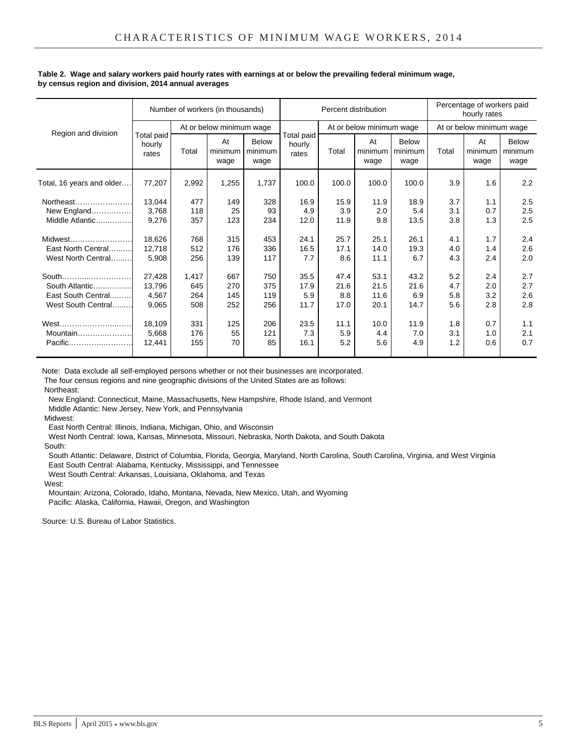|                           |                               |       | Number of workers (in thousands)                  |       |                               | Percent distribution |                          | Percentage of workers paid<br>hourly rates |       |                          |                          |
|---------------------------|-------------------------------|-------|---------------------------------------------------|-------|-------------------------------|----------------------|--------------------------|--------------------------------------------|-------|--------------------------|--------------------------|
| Region and division       |                               |       | At or below minimum wage                          |       |                               |                      | At or below minimum wage |                                            |       | At or below minimum wage |                          |
|                           | Total paid<br>hourly<br>rates | Total | At<br>Below<br>minimum<br>minimum<br>wage<br>wage |       | Total paid<br>hourly<br>rates | Total                | At<br>minimum l<br>wage  | <b>Below</b><br>minimum<br>wage            | Total | At<br>minimum<br>wage    | Below<br>minimum<br>wage |
| Total, 16 years and older | 77,207                        | 2,992 | 1,255                                             | 1,737 | 100.0                         | 100.0                | 100.0                    | 100.0                                      | 3.9   | 1.6                      | 2.2                      |
| Northeast                 | 13.044                        | 477   | 149                                               | 328   | 16.9                          | 15.9                 | 11.9                     | 18.9                                       | 3.7   | 1.1                      | 2.5                      |
| New England               | 3,768                         | 118   | 25                                                | 93    | 4.9                           | 3.9                  | 2.0                      | 5.4                                        | 3.1   | 0.7                      | 2.5                      |
| Middle Atlantic           | 9,276                         | 357   | 123                                               | 234   | 12.0                          | 11.9                 | 9.8                      | 13.5                                       | 3.8   | 1.3                      | 2.5                      |
| Midwest                   | 18.626                        | 768   | 315                                               | 453   | 24.1                          | 25.7                 | 25.1                     | 26.1                                       | 4.1   | 1.7                      | 2.4                      |
| East North Central        | 12.718                        | 512   | 176                                               | 336   | 16.5                          | 17.1                 | 14.0                     | 19.3                                       | 4.0   | 1.4                      | 2.6                      |
| West North Central        | 5,908                         | 256   | 139                                               | 117   | 7.7                           | 8.6                  | 11.1                     | 6.7                                        | 4.3   | 2.4                      | 2.0                      |
|                           | 27.428                        | 1.417 | 667                                               | 750   | 35.5                          | 47.4                 | 53.1                     | 43.2                                       | 5.2   | 2.4                      | 2.7                      |
| South Atlantic            | 13,796                        | 645   | 270                                               | 375   | 17.9                          | 21.6                 | 21.5                     | 21.6                                       | 4.7   | 2.0                      | 2.7                      |
| East South Central        | 4.567                         | 264   | 145                                               | 119   | 5.9                           | 8.8                  | 11.6                     | 6.9                                        | 5.8   | 3.2                      | 2.6                      |
| West South Central        | 9,065                         | 508   | 252                                               | 256   | 11.7                          | 17.0                 | 20.1                     | 14.7                                       | 5.6   | 2.8                      | 2.8                      |
| West                      | 18.109                        | 331   | 125                                               | 206   | 23.5                          | 11.1                 | 10.0                     | 11.9                                       | 1.8   | 0.7                      | 1.1                      |
| Mountain                  | 5,668                         | 176   | 55                                                | 121   | 7.3                           | 5.9                  | 4.4                      | 7.0                                        | 3.1   | 1.0                      | 2.1                      |
| Pacific                   | 12.441                        | 155   | 70                                                | 85    | 16.1                          | 5.2                  | 5.6                      | 4.9                                        | 1.2   | 0.6                      | 0.7                      |

#### **Table 2. Wage and salary workers paid hourly rates with earnings at or below the prevailing federal minimum wage, by census region and division, 2014 annual averages**

Note: Data exclude all self-employed persons whether or not their businesses are incorporated.

The four census regions and nine geographic divisions of the United States are as follows:

Northeast:

New England: Connecticut, Maine, Massachusetts, New Hampshire, Rhode Island, and Vermont

Middle Atlantic: New Jersey, New York, and Pennsylvania

Midwest:

East North Central: Illinois, Indiana, Michigan, Ohio, and Wisconsin

West North Central: Iowa, Kansas, Minnesota, Missouri, Nebraska, North Dakota, and South Dakota

South:

 South Atlantic: Delaware, District of Columbia, Florida, Georgia, Maryland, North Carolina, South Carolina, Virginia, and West Virginia East South Central: Alabama, Kentucky, Mississippi, and Tennessee

West South Central: Arkansas, Louisiana, Oklahoma, and Texas

West:

 Mountain: Arizona, Colorado, Idaho, Montana, Nevada, New Mexico, Utah, and Wyoming Pacific: Alaska, California, Hawaii, Oregon, and Washington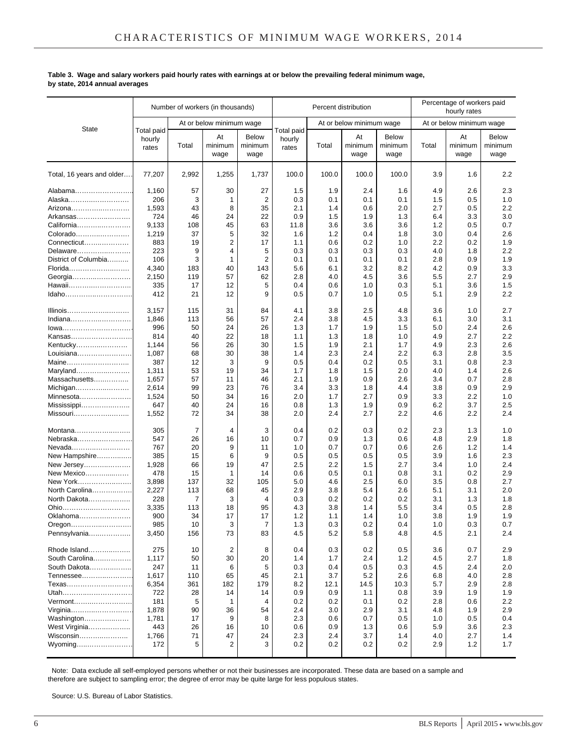#### **Table 3. Wage and salary workers paid hourly rates with earnings at or below the prevailing federal minimum wage, by state, 2014 annual averages**

|                                | Number of workers (in thousands) |            |                          |                                 |                               | Percentage of workers paid<br>Percent distribution<br>hourly rates |                          |                                 |            |                          |                                 |
|--------------------------------|----------------------------------|------------|--------------------------|---------------------------------|-------------------------------|--------------------------------------------------------------------|--------------------------|---------------------------------|------------|--------------------------|---------------------------------|
|                                |                                  |            | At or below minimum wage |                                 |                               |                                                                    | At or below minimum wage |                                 |            | At or below minimum wage |                                 |
| <b>State</b>                   | Total paid<br>hourly<br>rates    | Total      | At<br>minimum<br>wage    | <b>Below</b><br>minimum<br>wage | Total paid<br>hourly<br>rates | Total                                                              | At<br>minimum<br>wage    | <b>Below</b><br>minimum<br>wage | Total      | At<br>minimum<br>wage    | <b>Below</b><br>minimum<br>wage |
| Total, 16 years and older      | 77,207                           | 2,992      | 1,255                    | 1,737                           | 100.0                         | 100.0                                                              | 100.0                    | 100.0                           | 3.9        | 1.6                      | 2.2                             |
| Alabama                        | 1,160                            | 57         | 30                       | 27                              | 1.5                           | 1.9                                                                | 2.4                      | 1.6                             | 4.9        | 2.6                      | 2.3                             |
| Alaska………………………                | 206                              | 3          | 1                        | 2                               | 0.3                           | 0.1                                                                | 0.1                      | 0.1                             | 1.5        | 0.5                      | 1.0                             |
| Arizona                        | 1,593                            | 43         | 8                        | 35                              | 2.1                           | 1.4                                                                | 0.6                      | 2.0                             | 2.7        | 0.5                      | 2.2                             |
| Arkansas                       | 724                              | 46         | 24                       | 22                              | 0.9                           | 1.5                                                                | 1.9                      | 1.3                             | 6.4        | 3.3                      | 3.0                             |
| California                     | 9,133                            | 108        | 45                       | 63                              | 11.8                          | 3.6                                                                | 3.6                      | 3.6                             | 1.2        | 0.5                      | 0.7                             |
| Colorado                       | 1,219                            | 37         | 5                        | 32                              | 1.6                           | 1.2                                                                | 0.4                      | 1.8                             | 3.0        | 0.4                      | 2.6                             |
| Connecticut                    | 883                              | 19         | 2                        | 17                              | 1.1                           | 0.6                                                                | 0.2                      | 1.0                             | 2.2        | 0.2                      | 1.9                             |
| Delaware                       | 223                              | 9          | 4                        | 5                               | 0.3                           | 0.3                                                                | 0.3                      | 0.3                             | 4.0        | 1.8                      | 2.2                             |
| District of Columbia           | 106<br>4,340                     | 3<br>183   | 1<br>40                  | $\overline{2}$<br>143           | 0.1<br>5.6                    | 0.1<br>6.1                                                         | 0.1<br>3.2               | 0.1<br>8.2                      | 2.8<br>4.2 | 0.9<br>0.9               | 1.9<br>3.3                      |
| Florida                        | 2,150                            | 119        | 57                       | 62                              | 2.8                           | 4.0                                                                | 4.5                      | 3.6                             | 5.5        | 2.7                      | 2.9                             |
| Georgia<br>Hawaii              | 335                              | 17         | 12                       | 5                               | 0.4                           | 0.6                                                                | 1.0                      | 0.3                             | 5.1        | 3.6                      | 1.5                             |
| Idaho                          | 412                              | 21         | 12                       | 9                               | 0.5                           | 0.7                                                                | 1.0                      | 0.5                             | 5.1        | 2.9                      | 2.2                             |
|                                |                                  |            |                          |                                 |                               |                                                                    |                          |                                 |            |                          |                                 |
| Illinois                       | 3,157                            | 115        | 31                       | 84                              | 4.1                           | 3.8                                                                | 2.5                      | 4.8                             | 3.6        | 1.0                      | 2.7                             |
| Indiana                        | 1,846                            | 113        | 56                       | 57                              | 2.4                           | 3.8                                                                | 4.5                      | 3.3                             | 6.1        | 3.0                      | 3.1                             |
| lowa                           | 996                              | 50         | 24                       | 26                              | 1.3                           | 1.7                                                                | 1.9                      | 1.5                             | 5.0        | 2.4                      | 2.6                             |
| Kansas                         | 814                              | 40         | 22                       | 18                              | 1.1                           | 1.3                                                                | 1.8                      | 1.0                             | 4.9        | 2.7                      | 2.2                             |
| Kentucky                       | 1,144                            | 56         | 26                       | 30                              | 1.5                           | 1.9                                                                | 2.1                      | 1.7                             | 4.9        | 2.3                      | 2.6                             |
| Louisiana                      | 1,087                            | 68         | 30                       | 38                              | 1.4                           | 2.3                                                                | 2.4                      | 2.2                             | 6.3        | 2.8                      | 3.5                             |
| Maine                          | 387                              | 12         | 3                        | 9                               | 0.5                           | 0.4                                                                | 0.2                      | 0.5                             | 3.1        | 0.8                      | 2.3                             |
| Maryland                       | 1,311                            | 53         | 19                       | 34                              | 1.7                           | 1.8                                                                | 1.5                      | 2.0                             | 4.0        | 1.4                      | 2.6                             |
| Massachusetts                  | 1,657                            | 57         | 11                       | 46                              | 2.1                           | 1.9                                                                | 0.9                      | 2.6                             | 3.4        | 0.7                      | 2.8                             |
| Michigan                       | 2,614                            | 99         | 23                       | 76                              | 3.4                           | 3.3                                                                | 1.8                      | 4.4                             | 3.8        | 0.9                      | 2.9                             |
| Minnesota                      | 1,524                            | 50         | 34                       | 16                              | 2.0                           | 1.7                                                                | 2.7                      | 0.9                             | 3.3        | 2.2                      | 1.0                             |
| Mississippi                    | 647<br>1,552                     | 40<br>72   | 24<br>34                 | 16<br>38                        | 0.8<br>2.0                    | 1.3<br>2.4                                                         | 1.9<br>2.7               | 0.9<br>2.2                      | 6.2<br>4.6 | 3.7<br>2.2               | 2.5<br>2.4                      |
| Missouri                       |                                  |            |                          |                                 |                               |                                                                    |                          |                                 |            |                          |                                 |
| Montana                        | 305                              | 7          | 4                        | 3                               | 0.4                           | 0.2                                                                | 0.3                      | 0.2                             | 2.3        | 1.3                      | 1.0                             |
| Nebraska                       | 547                              | 26         | 16                       | 10                              | 0.7                           | 0.9                                                                | 1.3                      | 0.6                             | 4.8        | 2.9                      | 1.8                             |
| Nevada                         | 767                              | 20         | 9                        | 11                              | 1.0                           | 0.7                                                                | 0.7                      | 0.6                             | 2.6        | 1.2                      | 1.4                             |
| New Hampshire                  | 385                              | 15         | 6                        | 9                               | 0.5                           | 0.5                                                                | 0.5                      | 0.5                             | 3.9        | 1.6                      | 2.3                             |
| New Jersey                     | 1,928                            | 66         | 19                       | 47                              | 2.5                           | 2.2                                                                | 1.5                      | 2.7                             | 3.4        | 1.0                      | 2.4                             |
| New Mexico                     | 478                              | 15         | 1                        | 14                              | 0.6                           | 0.5                                                                | 0.1                      | 0.8                             | 3.1        | 0.2                      | 2.9                             |
| New York                       | 3,898                            | 137<br>113 | 32<br>68                 | 105<br>45                       | 5.0                           | 4.6                                                                | 2.5<br>5.4               | 6.0<br>2.6                      | 3.5<br>5.1 | 0.8<br>3.1               | 2.7<br>2.0                      |
| North Carolina<br>North Dakota | 2,227<br>228                     | 7          | 3                        | 4                               | 2.9<br>0.3                    | 3.8<br>0.2                                                         | 0.2                      | 0.2                             | 3.1        | 1.3                      | 1.8                             |
| Ohio                           | 3,335                            | 113        | 18                       | 95                              | 4.3                           | 3.8                                                                | 1.4                      | 5.5                             | 3.4        | 0.5                      | 2.8                             |
| Oklahoma                       | 900                              | 34         | 17                       | 17                              | 1.2                           | 1.1                                                                | 1.4                      | 1.0                             | 3.8        | 1.9                      | 1.9                             |
| Oregon                         | 985                              | 10         | 3                        | $\overline{7}$                  | 1.3                           | 0.3                                                                | 0.2                      | 0.4                             | 1.0        | 0.3                      | 0.7                             |
| Pennsylvania                   | 3,450                            | 156        | 73                       | 83                              | 4.5                           | 5.2                                                                | 5.8                      | 4.8                             | 4.5        | 2.1                      | 2.4                             |
|                                |                                  |            |                          |                                 |                               |                                                                    |                          |                                 |            |                          |                                 |
| Rhode Island<br>South Carolina | 275<br>1,117                     | 10<br>50   | $\overline{2}$<br>30     | 8<br>20                         | 0.4<br>1.4                    | 0.3<br>1.7                                                         | 0.2<br>2.4               | 0.5<br>$1.2$                    | 3.6<br>4.5 | 0.7<br>2.7               | 2.9<br>1.8                      |
| South Dakota                   | 247                              | 11         |                          | 5                               | 0.3                           |                                                                    | 0.5                      |                                 |            |                          | 2.0                             |
| Tennessee                      | 1,617                            | 110        | 6<br>65                  | 45                              | 2.1                           | 0.4<br>3.7                                                         | 5.2                      | 0.3<br>2.6                      | 4.5<br>6.8 | 2.4<br>4.0               | 2.8                             |
| Texas                          | 6,354                            | 361        | 182                      | 179                             | 8.2                           | 12.1                                                               | 14.5                     | 10.3                            | 5.7        | 2.9                      | 2.8                             |
| Utah                           | 722                              | 28         | 14                       | 14                              | 0.9                           | 0.9                                                                | 1.1                      | 0.8                             | 3.9        | 1.9                      | 1.9                             |
| Vermont                        | 181                              | 5          | $\mathbf{1}$             | 4                               | 0.2                           | 0.2                                                                | 0.1                      | 0.2                             | 2.8        | 0.6                      | 2.2                             |
| Virginia                       | 1,878                            | 90         | 36                       | 54                              | 2.4                           | 3.0                                                                | 2.9                      | 3.1                             | 4.8        | 1.9                      | 2.9                             |
| Washington                     | 1,781                            | 17         | 9                        | 8                               | 2.3                           | 0.6                                                                | 0.7                      | 0.5                             | 1.0        | 0.5                      | 0.4                             |
| West Virginia                  | 443                              | 26         | 16                       | 10                              | 0.6                           | 0.9                                                                | 1.3                      | 0.6                             | 5.9        | 3.6                      | 2.3                             |
| Wisconsin                      | 1,766                            | 71         | 47                       | 24                              | 2.3                           | 2.4                                                                | 3.7                      | 1.4                             | 4.0        | 2.7                      | 1.4                             |
| Wyoming                        | 172                              | 5          | $\overline{2}$           | 3                               | 0.2                           | 0.2                                                                | 0.2                      | 0.2                             | 2.9        | $1.2$                    | 1.7                             |
|                                |                                  |            |                          |                                 |                               |                                                                    |                          |                                 |            |                          |                                 |

 Note: Data exclude all self-employed persons whether or not their businesses are incorporated. These data are based on a sample and therefore are subject to sampling error; the degree of error may be quite large for less populous states.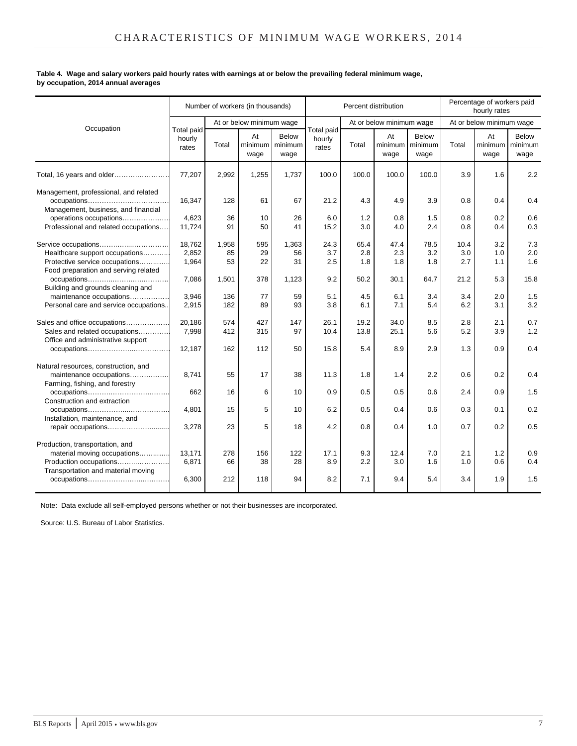#### **Table 4. Wage and salary workers paid hourly rates with earnings at or below the prevailing federal minimum wage, by occupation, 2014 annual averages**

|                                                                                                                                 |                               |                   | Number of workers (in thousands) |                                 |                               |                    | Percent distribution     |                          |                    | Percentage of workers paid<br>hourly rates |                          |
|---------------------------------------------------------------------------------------------------------------------------------|-------------------------------|-------------------|----------------------------------|---------------------------------|-------------------------------|--------------------|--------------------------|--------------------------|--------------------|--------------------------------------------|--------------------------|
| Occupation                                                                                                                      |                               |                   | At or below minimum wage         |                                 |                               |                    | At or below minimum wage |                          |                    | At or below minimum wage                   |                          |
|                                                                                                                                 | Total paid<br>hourly<br>rates | Total             | At<br>minimum<br>wage            | <b>Below</b><br>minimum<br>wage | Total paid<br>hourly<br>rates | Total              | At<br>minimum<br>wage    | Below<br>minimum<br>wage | Total              | At<br>minimum<br>wage                      | Below<br>minimum<br>wage |
| Total, 16 years and older                                                                                                       | 77,207                        | 2,992             | 1,255                            | 1,737                           | 100.0                         | 100.0              | 100.0                    | 100.0                    | 3.9                | 1.6                                        | 2.2                      |
| Management, professional, and related<br>Management, business, and financial                                                    | 16,347                        | 128               | 61                               | 67                              | 21.2                          | 4.3                | 4.9                      | 3.9                      | 0.8                | 0.4                                        | 0.4                      |
| operations occupations<br>Professional and related occupations                                                                  | 4,623<br>11,724               | 36<br>91          | 10<br>50                         | 26<br>41                        | 6.0<br>15.2                   | 1.2<br>3.0         | 0.8<br>4.0               | 1.5<br>2.4               | 0.8<br>0.8         | 0.2<br>0.4                                 | 0.6<br>0.3               |
| Service occupations<br>Healthcare support occupations<br>Protective service occupations<br>Food preparation and serving related | 18,762<br>2,852<br>1,964      | 1,958<br>85<br>53 | 595<br>29<br>22                  | 1,363<br>56<br>31               | 24.3<br>3.7<br>2.5            | 65.4<br>2.8<br>1.8 | 47.4<br>2.3<br>1.8       | 78.5<br>3.2<br>1.8       | 10.4<br>3.0<br>2.7 | 3.2<br>1.0<br>1.1                          | 7.3<br>2.0<br>1.6        |
| Building and grounds cleaning and                                                                                               | 7,086                         | 1,501             | 378                              | 1,123                           | 9.2                           | 50.2               | 30.1                     | 64.7                     | 21.2               | 5.3                                        | 15.8                     |
| maintenance occupations<br>Personal care and service occupations                                                                | 3,946<br>2,915                | 136<br>182        | 77<br>89                         | 59<br>93                        | 5.1<br>3.8                    | 4.5<br>6.1         | 6.1<br>7.1               | 3.4<br>5.4               | 3.4<br>6.2         | 2.0<br>3.1                                 | 1.5<br>3.2               |
| Sales and office occupations<br>Sales and related occupations<br>Office and administrative support                              | 20,186<br>7,998               | 574<br>412        | 427<br>315                       | 147<br>97                       | 26.1<br>10.4                  | 19.2<br>13.8       | 34.0<br>25.1             | 8.5<br>5.6               | 2.8<br>5.2         | 2.1<br>3.9                                 | 0.7<br>1.2               |
|                                                                                                                                 | 12,187                        | 162               | 112                              | 50                              | 15.8                          | 5.4                | 8.9                      | 2.9                      | 1.3                | 0.9                                        | 0.4                      |
| Natural resources, construction, and<br>maintenance occupations<br>Farming, fishing, and forestry                               | 8,741                         | 55                | 17                               | 38                              | 11.3                          | 1.8                | 1.4                      | 2.2                      | 0.6                | 0.2                                        | 0.4                      |
| Construction and extraction                                                                                                     | 662                           | 16                | 6                                | 10                              | 0.9                           | 0.5                | 0.5                      | 0.6                      | 2.4                | 0.9                                        | 1.5                      |
| Installation, maintenance, and                                                                                                  | 4.801                         | 15                | 5                                | 10                              | 6.2                           | 0.5                | 0.4                      | 0.6                      | 0.3                | 0.1                                        | 0.2                      |
| repair occupations                                                                                                              | 3,278                         | 23                | 5                                | 18                              | 4.2                           | 0.8                | 0.4                      | 1.0                      | 0.7                | 0.2                                        | 0.5                      |
| Production, transportation, and<br>material moving occupations<br>Production occupations<br>Transportation and material moving  | 13,171<br>6,871               | 278<br>66         | 156<br>38                        | 122<br>28                       | 17.1<br>8.9                   | 9.3<br>2.2         | 12.4<br>3.0              | 7.0<br>1.6               | 2.1<br>1.0         | 1.2<br>0.6                                 | 0.9<br>0.4               |
|                                                                                                                                 | 6,300                         | 212               | 118                              | 94                              | 8.2                           | 7.1                | 9.4                      | 5.4                      | 3.4                | 1.9                                        | 1.5                      |

Note: Data exclude all self-employed persons whether or not their businesses are incorporated.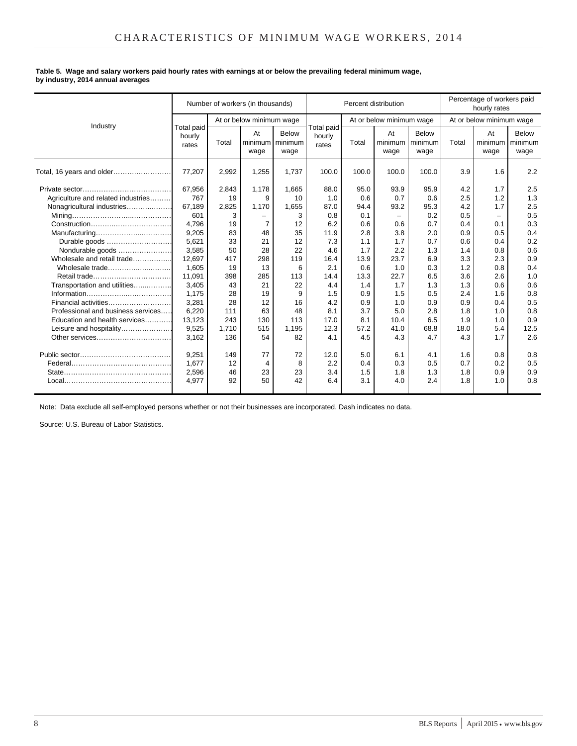#### **Table 5. Wage and salary workers paid hourly rates with earnings at or below the prevailing federal minimum wage, by industry, 2014 annual averages**

|                                    |                               |       | Number of workers (in thousands) |                                         | Percentage of workers paid<br>Percent distribution<br>hourly rates |       |                          |                          |       |                                 |               |
|------------------------------------|-------------------------------|-------|----------------------------------|-----------------------------------------|--------------------------------------------------------------------|-------|--------------------------|--------------------------|-------|---------------------------------|---------------|
| Industry                           |                               |       | At or below minimum wage         |                                         |                                                                    |       | At or below minimum wage |                          |       | At or below minimum wage        |               |
|                                    | Total paid<br>hourly<br>rates | Total | At<br>wage                       | <b>Below</b><br>minimum minimum<br>wage | Total paid<br>hourly<br>rates                                      | Total | At<br>minimum<br>wage    | Below<br>minimum<br>wage | Total | At<br>minimum I minimum<br>wage | Below<br>wage |
| Total, 16 years and older          | 77,207                        | 2,992 | 1,255                            | 1,737                                   | 100.0                                                              | 100.0 | 100.0                    | 100.0                    | 3.9   | 1.6                             | 2.2           |
|                                    | 67,956                        | 2,843 | 1,178                            | 1,665                                   | 88.0                                                               | 95.0  | 93.9                     | 95.9                     | 4.2   | 1.7                             | 2.5           |
| Agriculture and related industries | 767                           | 19    | 9                                | 10                                      | 1.0                                                                | 0.6   | 0.7                      | 0.6                      | 2.5   | 1.2                             | 1.3           |
| Nonagricultural industries         | 67,189                        | 2,825 | 1,170                            | 1,655                                   | 87.0                                                               | 94.4  | 93.2                     | 95.3                     | 4.2   | 1.7                             | 2.5           |
|                                    | 601                           | 3     |                                  | 3                                       | 0.8                                                                | 0.1   |                          | 0.2                      | 0.5   | $\overline{\phantom{0}}$        | 0.5           |
|                                    | 4.796                         | 19    | 7                                | 12                                      | 6.2                                                                | 0.6   | 0.6                      | 0.7                      | 0.4   | 0.1                             | 0.3           |
|                                    | 9,205                         | 83    | 48                               | 35                                      | 11.9                                                               | 2.8   | 3.8                      | 2.0                      | 0.9   | 0.5                             | 0.4           |
| Durable goods                      | 5,621                         | 33    | 21                               | 12                                      | 7.3                                                                | 1.1   | 1.7                      | 0.7                      | 0.6   | 0.4                             | 0.2           |
| Nondurable goods                   | 3,585                         | 50    | 28                               | 22                                      | 4.6                                                                | 1.7   | 2.2                      | 1.3                      | 1.4   | 0.8                             | 0.6           |
| Wholesale and retail trade         | 12,697                        | 417   | 298                              | 119                                     | 16.4                                                               | 13.9  | 23.7                     | 6.9                      | 3.3   | 2.3                             | 0.9           |
| Wholesale trade                    | 1,605                         | 19    | 13                               | 6                                       | 2.1                                                                | 0.6   | 1.0                      | 0.3                      | 1.2   | 0.8                             | 0.4           |
| Retail trade                       | 11.091                        | 398   | 285                              | 113                                     | 14.4                                                               | 13.3  | 22.7                     | 6.5                      | 3.6   | 2.6                             | 1.0           |
| Transportation and utilities       | 3,405                         | 43    | 21                               | 22                                      | 4.4                                                                | 1.4   | 1.7                      | 1.3                      | 1.3   | 0.6                             | 0.6           |
|                                    | 1.175                         | 28    | 19                               | 9                                       | 1.5                                                                | 0.9   | 1.5                      | 0.5                      | 2.4   | 1.6                             | 0.8           |
| Financial activities               | 3,281                         | 28    | 12                               | 16                                      | 4.2                                                                | 0.9   | 1.0                      | 0.9                      | 0.9   | 0.4                             | 0.5           |
| Professional and business services | 6,220                         | 111   | 63                               | 48                                      | 8.1                                                                | 3.7   | 5.0                      | 2.8                      | 1.8   | 1.0                             | 0.8           |
| Education and health services      | 13,123                        | 243   | 130                              | 113                                     | 17.0                                                               | 8.1   | 10.4                     | 6.5                      | 1.9   | 1.0                             | 0.9           |
| Leisure and hospitality            | 9,525                         | 1,710 | 515                              | 1,195                                   | 12.3                                                               | 57.2  | 41.0                     | 68.8                     | 18.0  | 5.4                             | 12.5          |
| Other services                     | 3.162                         | 136   | 54                               | 82                                      | 4.1                                                                | 4.5   | 4.3                      | 4.7                      | 4.3   | 1.7                             | 2.6           |
|                                    | 9,251                         | 149   | 77                               | 72                                      | 12.0                                                               | 5.0   | 6.1                      | 4.1                      | 1.6   | 0.8                             | 0.8           |
|                                    | 1,677                         | 12    | $\overline{4}$                   | 8                                       | 2.2                                                                | 0.4   | 0.3                      | 0.5                      | 0.7   | 0.2                             | 0.5           |
|                                    | 2,596                         | 46    | 23                               | 23                                      | 3.4                                                                | 1.5   | 1.8                      | 1.3                      | 1.8   | 0.9                             | 0.9           |
|                                    | 4.977                         | 92    | 50                               | 42                                      | 6.4                                                                | 3.1   | 4.0                      | 2.4                      | 1.8   | 1.0                             | 0.8           |

Note: Data exclude all self-employed persons whether or not their businesses are incorporated. Dash indicates no data.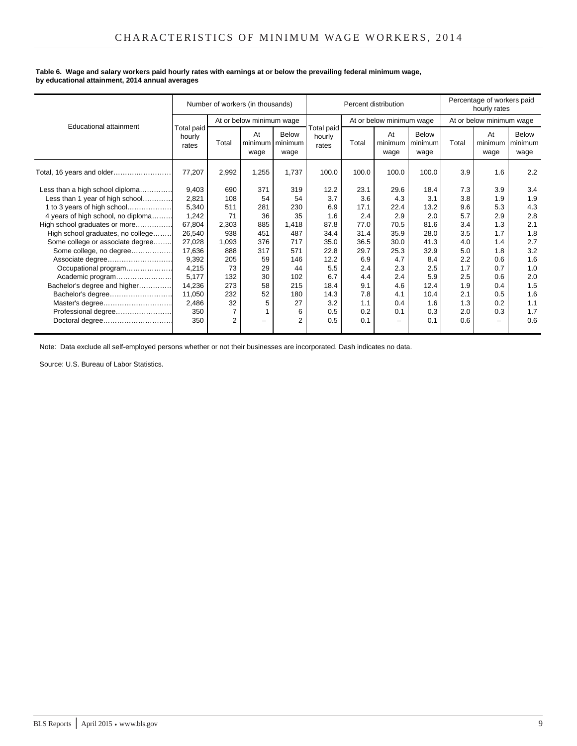#### **Table 6. Wage and salary workers paid hourly rates with earnings at or below the prevailing federal minimum wage, by educational attainment, 2014 annual averages**

|                                    |                               |       | Number of workers (in thousands) |                      |                               | Percentage of workers paid<br>Percent distribution<br>hourly rates |                          |                                 |       |                          |                          |
|------------------------------------|-------------------------------|-------|----------------------------------|----------------------|-------------------------------|--------------------------------------------------------------------|--------------------------|---------------------------------|-------|--------------------------|--------------------------|
| <b>Educational attainment</b>      |                               |       | At or below minimum wage         |                      |                               |                                                                    | At or below minimum wage |                                 |       | At or below minimum wage |                          |
|                                    | Total paid<br>hourly<br>rates | Total | At<br>minimum minimum<br>wage    | <b>Below</b><br>wage | Total paid<br>hourly<br>rates | Total                                                              | At<br>minimum<br>wage    | <b>Below</b><br>minimum<br>wage | Total | At<br>minimum<br>wage    | Below<br>minimum<br>wage |
| Total, 16 years and older          | 77,207                        | 2,992 | 1,255                            | 1,737                | 100.0                         | 100.0                                                              | 100.0                    | 100.0                           | 3.9   | 1.6                      | 2.2                      |
| Less than a high school diploma    | 9,403                         | 690   | 371                              | 319                  | 12.2                          | 23.1                                                               | 29.6                     | 18.4                            | 7.3   | 3.9                      | 3.4                      |
| Less than 1 year of high school    | 2,821                         | 108   | 54                               | 54                   | 3.7                           | 3.6                                                                | 4.3                      | 3.1                             | 3.8   | 1.9                      | 1.9                      |
| 1 to 3 years of high school        | 5,340                         | 511   | 281                              | 230                  | 6.9                           | 17.1                                                               | 22.4                     | 13.2                            | 9.6   | 5.3                      | 4.3                      |
| 4 years of high school, no diploma | 1,242                         | 71    | 36                               | 35                   | 1.6                           | 2.4                                                                | 2.9                      | 2.0                             | 5.7   | 2.9                      | 2.8                      |
| High school graduates or more      | 67,804                        | 2,303 | 885                              | 1,418                | 87.8                          | 77.0                                                               | 70.5                     | 81.6                            | 3.4   | 1.3                      | 2.1                      |
| High school graduates, no college  | 26,540                        | 938   | 451                              | 487                  | 34.4                          | 31.4                                                               | 35.9                     | 28.0                            | 3.5   | 1.7                      | 1.8                      |
| Some college or associate degree   | 27,028                        | 1.093 | 376                              | 717                  | 35.0                          | 36.5                                                               | 30.0                     | 41.3                            | 4.0   | 1.4                      | 2.7                      |
| Some college, no degree            | 17,636                        | 888   | 317                              | 571                  | 22.8                          | 29.7                                                               | 25.3                     | 32.9                            | 5.0   | 1.8                      | 3.2                      |
| Associate degree                   | 9,392                         | 205   | 59                               | 146                  | 12.2                          | 6.9                                                                | 4.7                      | 8.4                             | 2.2   | 0.6                      | 1.6                      |
| Occupational program               | 4,215                         | 73    | 29                               | 44                   | 5.5                           | 2.4                                                                | 2.3                      | 2.5                             | 1.7   | 0.7                      | 1.0                      |
| Academic program                   | 5,177                         | 132   | 30                               | 102                  | 6.7                           | 4.4                                                                | 2.4                      | 5.9                             | 2.5   | 0.6                      | 2.0                      |
| Bachelor's degree and higher       | 14.236                        | 273   | 58                               | 215                  | 18.4                          | 9.1                                                                | 4.6                      | 12.4                            | 1.9   | 0.4                      | 1.5                      |
| Bachelor's degree                  | 11,050                        | 232   | 52                               | 180                  | 14.3                          | 7.8                                                                | 4.1                      | 10.4                            | 2.1   | 0.5                      | 1.6                      |
| Master's degree                    | 2,486                         | 32    | 5                                | 27                   | 3.2                           | 1.1                                                                | 0.4                      | 1.6                             | 1.3   | 0.2                      | 1.1                      |
| Professional degree                | 350                           |       |                                  | 6                    | 0.5                           | 0.2                                                                | 0.1                      | 0.3                             | 2.0   | 0.3                      | 1.7                      |
| Doctoral degree                    | 350                           | 2     |                                  | 2                    | 0.5                           | 0.1                                                                |                          | 0.1                             | 0.6   |                          | 0.6                      |

Note: Data exclude all self-employed persons whether or not their businesses are incorporated. Dash indicates no data.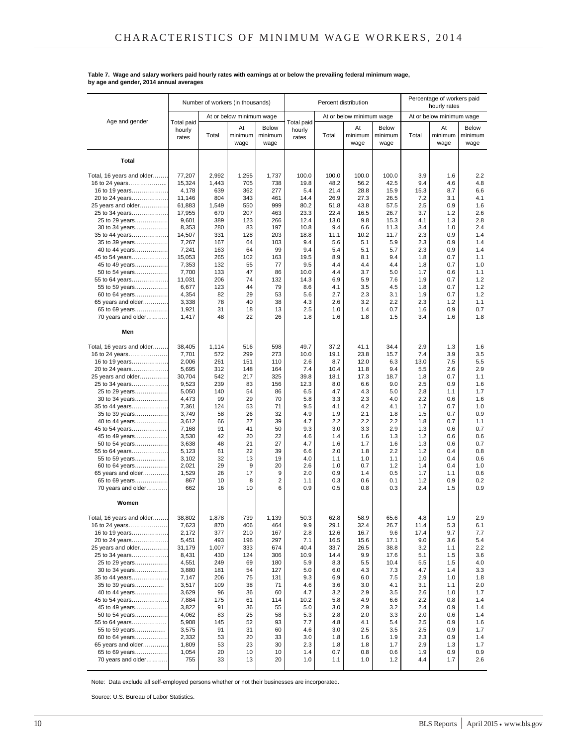|                                  |                               |            | Number of workers (in thousands) |                          | Percent distribution          |             |                          |                                 |            | hourly rates             | Percentage of workers paid      |  |  |
|----------------------------------|-------------------------------|------------|----------------------------------|--------------------------|-------------------------------|-------------|--------------------------|---------------------------------|------------|--------------------------|---------------------------------|--|--|
|                                  |                               |            | At or below minimum wage         |                          |                               |             | At or below minimum wage |                                 |            | At or below minimum wage |                                 |  |  |
| Age and gender                   | Total paid<br>hourly<br>rates | Total      | At<br>minimum<br>wage            | Below<br>minimum<br>wage | Total paid<br>hourly<br>rates | Total       | At<br>minimum<br>wage    | <b>Below</b><br>minimum<br>wage | Total      | At<br>minimum<br>wage    | <b>Below</b><br>minimum<br>wage |  |  |
| Total                            |                               |            |                                  |                          |                               |             |                          |                                 |            |                          |                                 |  |  |
| Total, 16 years and older        | 77,207                        | 2,992      | 1,255                            | 1,737                    | 100.0                         | 100.0       | 100.0                    | 100.0                           | 3.9        | 1.6                      | 2.2                             |  |  |
| 16 to 24 years                   | 15,324                        | 1,443      | 705                              | 738                      | 19.8                          | 48.2        | 56.2                     | 42.5                            | 9.4        | 4.6                      | 4.8                             |  |  |
| 16 to 19 years                   | 4,178                         | 639        | 362                              | 277                      | 5.4                           | 21.4        | 28.8                     | 15.9                            | 15.3       | 8.7                      | 6.6                             |  |  |
| 20 to 24 years                   | 11,146                        | 804        | 343                              | 461                      | 14.4                          | 26.9        | 27.3                     | 26.5                            | 7.2        | 3.1                      | 4.1                             |  |  |
| 25 years and older               | 61,883                        | 1,549      | 550                              | 999                      | 80.2                          | 51.8        | 43.8                     | 57.5                            | 2.5        | 0.9                      | 1.6                             |  |  |
| 25 to 34 years                   | 17,955                        | 670        | 207                              | 463                      | 23.3                          | 22.4        | 16.5                     | 26.7                            | 3.7        | 1.2                      | 2.6                             |  |  |
| 25 to 29 years                   | 9,601                         | 389        | 123                              | 266                      | 12.4                          | 13.0        | 9.8                      | 15.3                            | 4.1        | 1.3                      | 2.8                             |  |  |
| 30 to 34 years                   | 8,353<br>14,507               | 280<br>331 | 83<br>128                        | 197<br>203               | 10.8<br>18.8                  | 9.4<br>11.1 | 6.6<br>10.2              | 11.3<br>11.7                    | 3.4<br>2.3 | 1.0<br>0.9               | 2.4<br>1.4                      |  |  |
| 35 to 44 years<br>35 to 39 years | 7,267                         | 167        | 64                               | 103                      | 9.4                           | 5.6         | 5.1                      | 5.9                             | 2.3        | 0.9                      | 1.4                             |  |  |
| 40 to 44 years                   | 7,241                         | 163        | 64                               | 99                       | 9.4                           | 5.4         | 5.1                      | 5.7                             | 2.3        | 0.9                      | 1.4                             |  |  |
| 45 to 54 years                   | 15,053                        | 265        | 102                              | 163                      | 19.5                          | 8.9         | 8.1                      | 9.4                             | 1.8        | 0.7                      | 1.1                             |  |  |
| 45 to 49 years                   | 7,353                         | 132        | 55                               | 77                       | 9.5                           | 4.4         | 4.4                      | 4.4                             | 1.8        | 0.7                      | 1.0                             |  |  |
| 50 to 54 years                   | 7,700                         | 133        | 47                               | 86                       | 10.0                          | 4.4         | 3.7                      | 5.0                             | 1.7        | 0.6                      | 1.1                             |  |  |
| 55 to 64 years                   | 11,031                        | 206        | 74                               | 132                      | 14.3                          | 6.9         | 5.9                      | 7.6                             | 1.9        | 0.7                      | 1.2                             |  |  |
| 55 to 59 years<br>60 to 64 years | 6,677<br>4,354                | 123<br>82  | 44<br>29                         | 79<br>53                 | 8.6<br>5.6                    | 4.1<br>2.7  | 3.5<br>2.3               | 4.5<br>3.1                      | 1.8<br>1.9 | 0.7<br>0.7               | 1.2<br>1.2                      |  |  |
| 65 years and older               | 3,338                         | 78         | 40                               | 38                       | 4.3                           | 2.6         | 3.2                      | 2.2                             | 2.3        | 1.2                      | 1.1                             |  |  |
| 65 to 69 years                   | 1,921                         | 31         | 18                               | 13                       | 2.5                           | 1.0         | 1.4                      | 0.7                             | 1.6        | 0.9                      | 0.7                             |  |  |
| 70 years and older               | 1,417                         | 48         | 22                               | 26                       | 1.8                           | 1.6         | 1.8                      | 1.5                             | 3.4        | 1.6                      | 1.8                             |  |  |
| Men                              |                               |            |                                  |                          |                               |             |                          |                                 |            |                          |                                 |  |  |
| Total, 16 years and older        | 38,405                        | 1,114      | 516                              | 598                      | 49.7                          | 37.2        | 41.1                     | 34.4                            | 2.9        | 1.3                      | 1.6                             |  |  |
| 16 to 24 years                   | 7,701                         | 572        | 299                              | 273                      | 10.0                          | 19.1        | 23.8                     | 15.7                            | 7.4        | 3.9                      | 3.5                             |  |  |
| 16 to 19 years                   | 2,006                         | 261        | 151                              | 110                      | 2.6                           | 8.7         | 12.0                     | 6.3                             | 13.0       | 7.5                      | 5.5                             |  |  |
| 20 to 24 years                   | 5,695                         | 312        | 148                              | 164                      | 7.4                           | 10.4        | 11.8                     | 9.4                             | 5.5        | 2.6                      | 2.9                             |  |  |
| 25 years and older               | 30,704                        | 542        | 217                              | 325                      | 39.8                          | 18.1        | 17.3                     | 18.7                            | 1.8        | 0.7                      | 1.1                             |  |  |
| 25 to 34 years<br>25 to 29 years | 9,523<br>5,050                | 239<br>140 | 83<br>54                         | 156<br>86                | 12.3<br>6.5                   | 8.0<br>4.7  | 6.6<br>4.3               | 9.0<br>5.0                      | 2.5<br>2.8 | 0.9<br>1.1               | 1.6<br>1.7                      |  |  |
| 30 to 34 years                   | 4,473                         | 99         | 29                               | 70                       | 5.8                           | 3.3         | 2.3                      | 4.0                             | 2.2        | 0.6                      | 1.6                             |  |  |
| 35 to 44 years                   | 7,361                         | 124        | 53                               | 71                       | 9.5                           | 4.1         | 4.2                      | 4.1                             | 1.7        | 0.7                      | 1.0                             |  |  |
| 35 to 39 years                   | 3,749                         | 58         | 26                               | 32                       | 4.9                           | 1.9         | 2.1                      | 1.8                             | 1.5        | 0.7                      | 0.9                             |  |  |
| 40 to 44 years                   | 3,612                         | 66         | 27                               | 39                       | 4.7                           | 2.2         | 2.2                      | 2.2                             | 1.8        | 0.7                      | 1.1                             |  |  |
| 45 to 54 years                   | 7,168                         | 91         | 41                               | 50                       | 9.3                           | 3.0         | 3.3                      | 2.9                             | 1.3        | 0.6                      | 0.7                             |  |  |
| 45 to 49 years                   | 3,530                         | 42         | 20                               | 22                       | 4.6                           | 1.4         | 1.6                      | 1.3                             | 1.2        | 0.6                      | 0.6                             |  |  |
| 50 to 54 years<br>55 to 64 years | 3,638<br>5,123                | 48<br>61   | 21<br>22                         | 27<br>39                 | 4.7<br>6.6                    | 1.6<br>2.0  | 1.7<br>1.8               | 1.6<br>2.2                      | 1.3<br>1.2 | 0.6<br>0.4               | 0.7<br>0.8                      |  |  |
| 55 to 59 years                   | 3,102                         | 32         | 13                               | 19                       | 4.0                           | 1.1         | 1.0                      | 1.1                             | 1.0        | 0.4                      | 0.6                             |  |  |
| 60 to 64 years                   | 2,021                         | 29         | 9                                | 20                       | 2.6                           | 1.0         | 0.7                      | 1.2                             | 1.4        | 0.4                      | 1.0                             |  |  |
| 65 years and older               | 1,529                         | 26         | 17                               | 9                        | 2.0                           | 0.9         | 1.4                      | 0.5                             | 1.7        | 1.1                      | 0.6                             |  |  |
| 65 to 69 years                   | 867                           | 10         | 8                                | 2                        | 1.1                           | 0.3         | 0.6                      | 0.1                             | 1.2        | 0.9                      | 0.2                             |  |  |
| 70 years and older               | 662                           | 16         | 10                               | 6                        | 0.9                           | 0.5         | 0.8                      | 0.3                             | 2.4        | 1.5                      | 0.9                             |  |  |
| Women                            |                               |            |                                  |                          |                               |             |                          |                                 |            |                          |                                 |  |  |
| Total, 16 years and older……      | 38,802                        | 1,878      | 739                              | 1,139                    | 50.3                          | 62.8        | 58.9                     | 65.6                            | 4.8        | 1.9                      | 2.9                             |  |  |
| 16 to 24 years                   | 7,623                         | 870        | 406                              | 464                      | 9.9                           | 29.1        | 32.4                     | 26.7                            | 11.4       | 5.3                      | 6.1                             |  |  |
| 16 to 19 years                   | 2,172                         | 377        | 210                              | 167                      | 2.8                           | 12.6        | 16.7                     | 9.6                             | 17.4       | 9.7                      | 7.7                             |  |  |
| 20 to 24 years                   | 5,451                         | 493        | 196                              | 297                      | 7.1                           | 16.5        | 15.6                     | 17.1                            | 9.0        | 3.6                      | 5.4                             |  |  |
| 25 years and older               | 31,179                        | 1,007      | 333                              | 674                      | 40.4                          | 33.7        | 26.5                     | 38.8                            | 3.2        | 1.1                      | 2.2                             |  |  |
| 25 to 34 years                   | 8,431                         | 430<br>249 | 124                              | 306                      | 10.9                          | 14.4        | 9.9<br>5.5               | 17.6<br>10.4                    | 5.1        | 1.5<br>1.5               | 3.6<br>4.0                      |  |  |
| 25 to 29 years<br>30 to 34 years | 4,551<br>3,880                | 181        | 69<br>54                         | 180<br>127               | 5.9<br>5.0                    | 8.3<br>6.0  | 4.3                      | 7.3                             | 5.5<br>4.7 | 1.4                      | 3.3                             |  |  |
| 35 to 44 years                   | 7,147                         | 206        | 75                               | 131                      | 9.3                           | 6.9         | 6.0                      | 7.5                             | 2.9        | 1.0                      | 1.8                             |  |  |
| 35 to 39 years                   | 3,517                         | 109        | 38                               | 71                       | 4.6                           | 3.6         | 3.0                      | 4.1                             | 3.1        | 1.1                      | 2.0                             |  |  |
| 40 to 44 years                   | 3,629                         | 96         | 36                               | 60                       | 4.7                           | 3.2         | 2.9                      | 3.5                             | 2.6        | 1.0                      | 1.7                             |  |  |
| 45 to 54 years                   | 7,884                         | 175        | 61                               | 114                      | 10.2                          | 5.8         | 4.9                      | 6.6                             | 2.2        | 0.8                      | 1.4                             |  |  |
| 45 to 49 years                   | 3,822                         | 91<br>83   | 36<br>25                         | 55<br>58                 | 5.0<br>5.3                    | 3.0<br>2.8  | 2.9<br>2.0               | 3.2<br>3.3                      | 2.4<br>2.0 | 0.9<br>0.6               | 1.4<br>1.4                      |  |  |
| 50 to 54 years<br>55 to 64 years | 4,062<br>5,908                | 145        | 52                               | 93                       | 7.7                           | 4.8         | 4.1                      | 5.4                             | 2.5        | 0.9                      | 1.6                             |  |  |
| 55 to 59 years                   | 3,575                         | 91         | 31                               | 60                       | 4.6                           | 3.0         | 2.5                      | 3.5                             | 2.5        | 0.9                      | 1.7                             |  |  |
| 60 to 64 years                   | 2,332                         | 53         | 20                               | 33                       | 3.0                           | 1.8         | 1.6                      | 1.9                             | 2.3        | 0.9                      | 1.4                             |  |  |
| 65 years and older               | 1,809                         | 53         | 23                               | 30                       | 2.3                           | 1.8         | 1.8                      | 1.7                             | 2.9        | 1.3                      | 1.7                             |  |  |
| 65 to 69 years                   | 1,054                         | 20         | 10                               | 10                       | 1.4                           | 0.7         | 0.8                      | 0.6                             | 1.9        | 0.9                      | 0.9                             |  |  |
| 70 years and older               | 755                           | 33         | 13                               | 20                       | 1.0                           | 1.1         | 1.0                      | 1.2                             | 4.4        | 1.7                      | 2.6                             |  |  |

## **Table 7. Wage and salary workers paid hourly rates with earnings at or below the prevailing federal minimum wage, by age and gender, 2014 annual averages**

Note: Data exclude all self-employed persons whether or not their businesses are incorporated.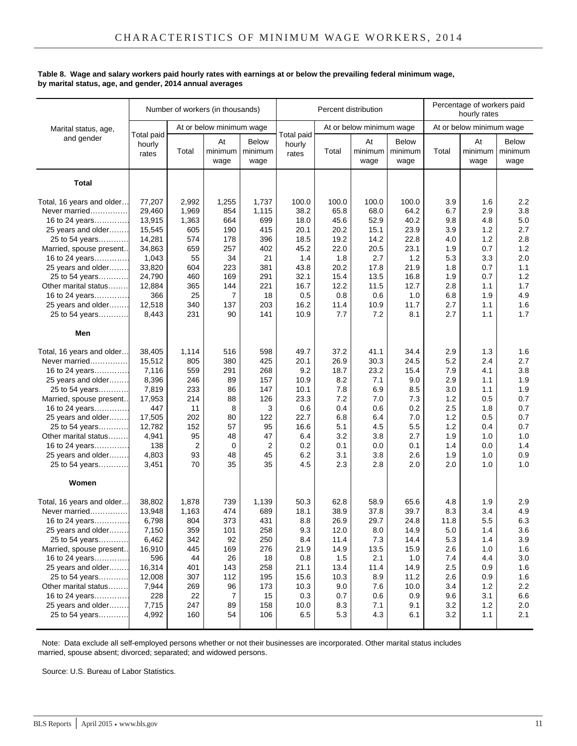## **Table 8. Wage and salary workers paid hourly rates with earnings at or below the prevailing federal minimum wage, by marital status, age, and gender, 2014 annual averages**

|                                                                                                                                                                                                                                                                                      |                                                                                                                    |                                                                                                  | Number of workers (in thousands)                                                 |                                                                                              |                                                                                                | Percent distribution                                                                            |                                                                                              |                                                                                                  |                                                                                          | Percentage of workers paid<br>hourly rates                                              |                                                                                             |
|--------------------------------------------------------------------------------------------------------------------------------------------------------------------------------------------------------------------------------------------------------------------------------------|--------------------------------------------------------------------------------------------------------------------|--------------------------------------------------------------------------------------------------|----------------------------------------------------------------------------------|----------------------------------------------------------------------------------------------|------------------------------------------------------------------------------------------------|-------------------------------------------------------------------------------------------------|----------------------------------------------------------------------------------------------|--------------------------------------------------------------------------------------------------|------------------------------------------------------------------------------------------|-----------------------------------------------------------------------------------------|---------------------------------------------------------------------------------------------|
| Marital status, age,                                                                                                                                                                                                                                                                 |                                                                                                                    |                                                                                                  | At or below minimum wage                                                         |                                                                                              |                                                                                                |                                                                                                 | At or below minimum wage                                                                     |                                                                                                  |                                                                                          | At or below minimum wage                                                                |                                                                                             |
| and gender                                                                                                                                                                                                                                                                           | Total paid<br>hourly<br>rates                                                                                      | Total                                                                                            | At<br>minimum<br>wage                                                            | Below<br>minimum<br>wage                                                                     | Total paid<br>hourly<br>rates                                                                  | Total                                                                                           | At<br>minimum<br>wage                                                                        | <b>Below</b><br>minimum<br>wage                                                                  | Total                                                                                    | At<br>minimum<br>wage                                                                   | <b>Below</b><br>minimum<br>wage                                                             |
| <b>Total</b>                                                                                                                                                                                                                                                                         |                                                                                                                    |                                                                                                  |                                                                                  |                                                                                              |                                                                                                |                                                                                                 |                                                                                              |                                                                                                  |                                                                                          |                                                                                         |                                                                                             |
| Total, 16 years and older<br>Never married<br>16 to 24 years<br>25 years and older<br>25 to 54 years<br>Married, spouse present<br>16 to 24 years<br>25 years and older<br>25 to 54 years<br>Other marital status<br>16 to 24 years<br>25 years and older                            | 77,207<br>29,460<br>13,915<br>15,545<br>14,281<br>34,863<br>1,043<br>33,820<br>24,790<br>12,884<br>366<br>12,518   | 2,992<br>1,969<br>1,363<br>605<br>574<br>659<br>55<br>604<br>460<br>365<br>25<br>340             | 1,255<br>854<br>664<br>190<br>178<br>257<br>34<br>223<br>169<br>144<br>7<br>137  | 1,737<br>1,115<br>699<br>415<br>396<br>402<br>21<br>381<br>291<br>221<br>18<br>203           | 100.0<br>38.2<br>18.0<br>20.1<br>18.5<br>45.2<br>1.4<br>43.8<br>32.1<br>16.7<br>0.5<br>16.2    | 100.0<br>65.8<br>45.6<br>20.2<br>19.2<br>22.0<br>1.8<br>20.2<br>15.4<br>12.2<br>0.8<br>11.4     | 100.0<br>68.0<br>52.9<br>15.1<br>14.2<br>20.5<br>2.7<br>17.8<br>13.5<br>11.5<br>0.6<br>10.9  | 100.0<br>64.2<br>40.2<br>23.9<br>22.8<br>23.1<br>1.2<br>21.9<br>16.8<br>12.7<br>1.0<br>11.7      | 3.9<br>6.7<br>9.8<br>3.9<br>4.0<br>1.9<br>5.3<br>1.8<br>1.9<br>2.8<br>6.8<br>2.7         | 1.6<br>2.9<br>4.8<br>1.2<br>1.2<br>0.7<br>3.3<br>0.7<br>0.7<br>1.1<br>1.9<br>1.1        | 2.2<br>3.8<br>5.0<br>2.7<br>2.8<br>1.2<br>2.0<br>1.1<br>1.2<br>1.7<br>4.9<br>1.6            |
| 25 to 54 years<br>Men                                                                                                                                                                                                                                                                | 8,443                                                                                                              | 231                                                                                              | 90                                                                               | 141                                                                                          | 10.9                                                                                           | 7.7                                                                                             | 7.2                                                                                          | 8.1                                                                                              | 2.7                                                                                      | 1.1                                                                                     | 1.7                                                                                         |
| Total, 16 years and older<br>Never married<br>16 to 24 years<br>25 years and older<br>25 to 54 years<br>Married, spouse present<br>16 to 24 years<br>25 years and older<br>25 to 54 years<br>Other marital status<br>16 to 24 years<br>25 years and older<br>25 to 54 years          | 38,405<br>15,512<br>7,116<br>8,396<br>7,819<br>17,953<br>447<br>17,505<br>12,782<br>4,941<br>138<br>4,803<br>3,451 | 1,114<br>805<br>559<br>246<br>233<br>214<br>11<br>202<br>152<br>95<br>$\overline{2}$<br>93<br>70 | 516<br>380<br>291<br>89<br>86<br>88<br>8<br>80<br>57<br>48<br>0<br>48<br>35      | 598<br>425<br>268<br>157<br>147<br>126<br>3<br>122<br>95<br>47<br>$\overline{2}$<br>45<br>35 | 49.7<br>20.1<br>9.2<br>10.9<br>10.1<br>23.3<br>0.6<br>22.7<br>16.6<br>6.4<br>0.2<br>6.2<br>4.5 | 37.2<br>26.9<br>18.7<br>8.2<br>7.8<br>7.2<br>0.4<br>6.8<br>5.1<br>3.2<br>0.1<br>3.1<br>2.3      | 41.1<br>30.3<br>23.2<br>7.1<br>6.9<br>7.0<br>0.6<br>6.4<br>4.5<br>3.8<br>0.0<br>3.8<br>2.8   | 34.4<br>24.5<br>15.4<br>9.0<br>8.5<br>7.3<br>0.2<br>7.0<br>5.5<br>2.7<br>0.1<br>2.6<br>2.0       | 2.9<br>5.2<br>7.9<br>2.9<br>3.0<br>1.2<br>2.5<br>1.2<br>1.2<br>1.9<br>1.4<br>1.9<br>2.0  | 1.3<br>2.4<br>4.1<br>1.1<br>1.1<br>0.5<br>1.8<br>0.5<br>0.4<br>1.0<br>0.0<br>1.0<br>1.0 | 1.6<br>2.7<br>3.8<br>1.9<br>1.9<br>0.7<br>0.7<br>0.7<br>0.7<br>1.0<br>1.4<br>0.9<br>1.0     |
| Women<br>Total, 16 years and older<br>Never married<br>16 to 24 years<br>25 years and older<br>25 to 54 years<br>Married, spouse present<br>16 to 24 years<br>25 years and older<br>25 to 54 years<br>Other marital status<br>16 to 24 years<br>25 years and older<br>25 to 54 years | 38,802<br>13,948<br>6,798<br>7,150<br>6,462<br>16,910<br>596<br>16,314<br>12,008<br>7,944<br>228<br>7,715<br>4,992 | 1,878<br>1,163<br>804<br>359<br>342<br>445<br>44<br>401<br>307<br>269<br>22<br>247<br>160        | 739<br>474<br>373<br>101<br>92<br>169<br>26<br>143<br>112<br>96<br>7<br>89<br>54 | 1,139<br>689<br>431<br>258<br>250<br>276<br>18<br>258<br>195<br>173<br>15<br>158<br>106      | 50.3<br>18.1<br>8.8<br>9.3<br>8.4<br>21.9<br>0.8<br>21.1<br>15.6<br>10.3<br>0.3<br>10.0<br>6.5 | 62.8<br>38.9<br>26.9<br>12.0<br>11.4<br>14.9<br>1.5<br>13.4<br>10.3<br>9.0<br>0.7<br>8.3<br>5.3 | 58.9<br>37.8<br>29.7<br>8.0<br>7.3<br>13.5<br>2.1<br>11.4<br>8.9<br>7.6<br>0.6<br>7.1<br>4.3 | 65.6<br>39.7<br>24.8<br>14.9<br>14.4<br>15.9<br>1.0<br>14.9<br>11.2<br>10.0<br>0.9<br>9.1<br>6.1 | 4.8<br>8.3<br>11.8<br>5.0<br>5.3<br>2.6<br>7.4<br>2.5<br>2.6<br>3.4<br>9.6<br>3.2<br>3.2 | 1.9<br>3.4<br>5.5<br>1.4<br>1.4<br>1.0<br>4.4<br>0.9<br>0.9<br>1.2<br>3.1<br>1.2<br>1.1 | 2.9<br>4.9<br>6.3<br>3.6<br>3.9<br>1.6<br>3.0<br>1.6<br>1.6<br>2.2<br>$6.6\,$<br>2.0<br>2.1 |

 Note: Data exclude all self-employed persons whether or not their businesses are incorporated. Other marital status includes married, spouse absent; divorced; separated; and widowed persons.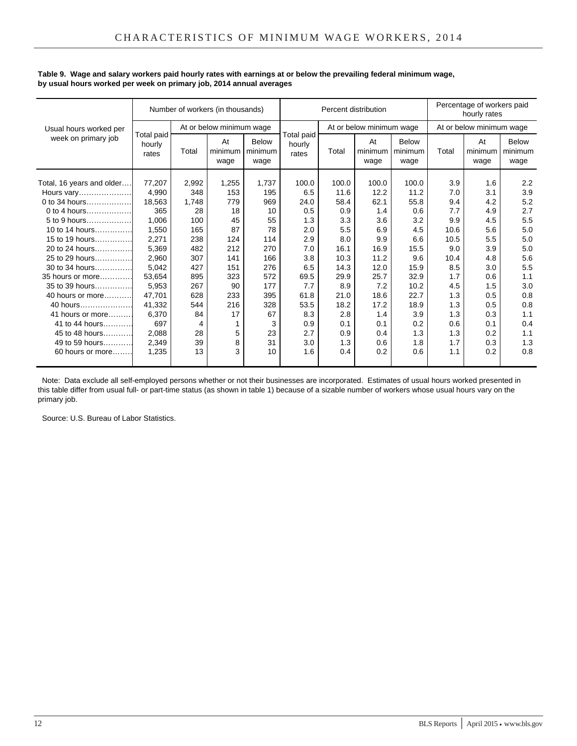|                           |                               |       | Number of workers (in thousands) |                                 | Percentage of workers paid<br>Percent distribution<br>hourly rates |       |                                 |               |       |                          |                          |
|---------------------------|-------------------------------|-------|----------------------------------|---------------------------------|--------------------------------------------------------------------|-------|---------------------------------|---------------|-------|--------------------------|--------------------------|
| Usual hours worked per    |                               |       | At or below minimum wage         |                                 |                                                                    |       | At or below minimum wage        |               |       | At or below minimum wage |                          |
| week on primary job       | Total paid<br>hourly<br>rates | Total | At<br>minimum<br>wage            | <b>Below</b><br>minimum<br>wage | Total paid<br>hourly<br>rates                                      | Total | At<br>minimum   minimum<br>wage | Below<br>wage | Total | At<br>minimum<br>wage    | Below<br>minimum<br>wage |
| Total, 16 years and older | 77,207                        | 2,992 | 1,255                            | 1,737                           | 100.0                                                              | 100.0 | 100.0                           | 100.0         | 3.9   | 1.6                      | 2.2                      |
| Hours vary                | 4,990                         | 348   | 153                              | 195                             | 6.5                                                                | 11.6  | 12.2                            | 11.2          | 7.0   | 3.1                      | 3.9                      |
| 0 to 34 hours             | 18,563                        | 1,748 | 779                              | 969                             | 24.0                                                               | 58.4  | 62.1                            | 55.8          | 9.4   | 4.2                      | 5.2                      |
| 0 to 4 hours              | 365                           | 28    | 18                               | 10                              | 0.5                                                                | 0.9   | 1.4                             | 0.6           | 7.7   | 4.9                      | 2.7                      |
| 5 to 9 hours              | 1.006                         | 100   | 45                               | 55                              | 1.3                                                                | 3.3   | 3.6                             | 3.2           | 9.9   | 4.5                      | 5.5                      |
| 10 to 14 hours            | 1,550                         | 165   | 87                               | 78                              | 2.0                                                                | 5.5   | 6.9                             | 4.5           | 10.6  | 5.6                      | 5.0                      |
| 15 to 19 hours            | 2,271                         | 238   | 124                              | 114                             | 2.9                                                                | 8.0   | 9.9                             | 6.6           | 10.5  | 5.5                      | 5.0                      |
| 20 to 24 hours            | 5.369                         | 482   | 212                              | 270                             | 7.0                                                                | 16.1  | 16.9                            | 15.5          | 9.0   | 3.9                      | 5.0                      |
| 25 to 29 hours            | 2,960                         | 307   | 141                              | 166                             | 3.8                                                                | 10.3  | 11.2                            | 9.6           | 10.4  | 4.8                      | 5.6                      |
| 30 to 34 hours            | 5,042                         | 427   | 151                              | 276                             | 6.5                                                                | 14.3  | 12.0                            | 15.9          | 8.5   | 3.0                      | 5.5                      |
| 35 hours or more          | 53.654                        | 895   | 323                              | 572                             | 69.5                                                               | 29.9  | 25.7                            | 32.9          | 1.7   | 0.6                      | 1.1                      |
| 35 to 39 hours            | 5,953                         | 267   | 90                               | 177                             | 7.7                                                                | 8.9   | 7.2                             | 10.2          | 4.5   | 1.5                      | 3.0                      |
| 40 hours or more          | 47,701                        | 628   | 233                              | 395                             | 61.8                                                               | 21.0  | 18.6                            | 22.7          | 1.3   | 0.5                      | 0.8                      |
| 40 hours                  | 41.332                        | 544   | 216                              | 328                             | 53.5                                                               | 18.2  | 17.2                            | 18.9          | 1.3   | 0.5                      | 0.8                      |
| 41 hours or more          | 6.370                         | 84    | 17                               | 67                              | 8.3                                                                | 2.8   | 1.4                             | 3.9           | 1.3   | 0.3                      | 1.1                      |
| 41 to 44 hours            | 697                           | 4     | 1                                | 3                               | 0.9                                                                | 0.1   | 0.1                             | 0.2           | 0.6   | 0.1                      | 0.4                      |
| 45 to 48 hours            | 2.088                         | 28    | 5                                | 23                              | 2.7                                                                | 0.9   | 0.4                             | 1.3           | 1.3   | 0.2                      | 1.1                      |
| 49 to 59 hours            | 2,349                         | 39    | 8                                | 31                              | 3.0                                                                | 1.3   | 0.6                             | 1.8           | 1.7   | 0.3                      | 1.3                      |
| 60 hours or more          | 1,235                         | 13    | 3                                | 10                              | 1.6                                                                | 0.4   | 0.2                             | 0.6           | 1.1   | 0.2                      | 0.8                      |
|                           |                               |       |                                  |                                 |                                                                    |       |                                 |               |       |                          |                          |

## **Table 9. Wage and salary workers paid hourly rates with earnings at or below the prevailing federal minimum wage, by usual hours worked per week on primary job, 2014 annual averages**

 Note: Data exclude all self-employed persons whether or not their businesses are incorporated. Estimates of usual hours worked presented in this table differ from usual full- or part-time status (as shown in table 1) because of a sizable number of workers whose usual hours vary on the primary job.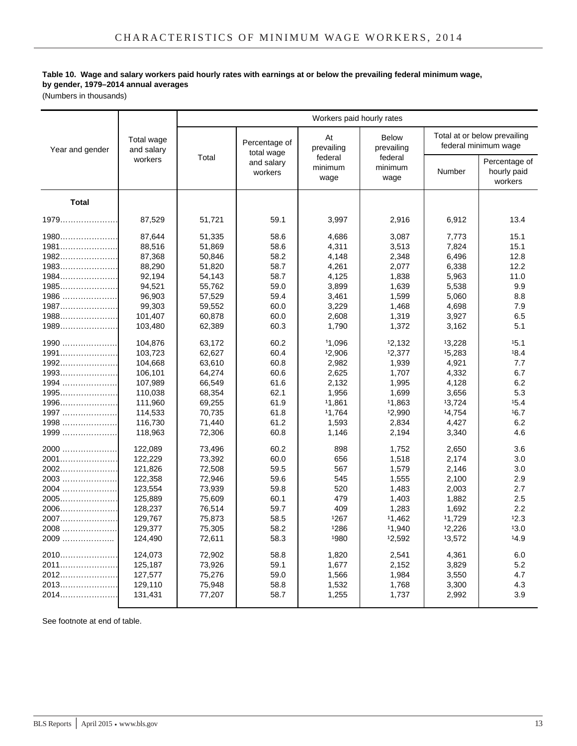## **Table 10. Wage and salary workers paid hourly rates with earnings at or below the prevailing federal minimum wage, by gender, 1979–2014 annual averages**

(Numbers in thousands)

|                 |                          |        |                             | Workers paid hourly rates   |                                |        |                                                      |
|-----------------|--------------------------|--------|-----------------------------|-----------------------------|--------------------------------|--------|------------------------------------------------------|
| Year and gender | Total wage<br>and salary | Total  | Percentage of<br>total wage | At<br>prevailing<br>federal | Below<br>prevailing<br>federal |        | Total at or below prevailing<br>federal minimum wage |
|                 | workers                  |        | and salary<br>workers       | minimum<br>wage             | minimum<br>wage                | Number | Percentage of<br>hourly paid<br>workers              |
| <b>Total</b>    |                          |        |                             |                             |                                |        |                                                      |
| 1979            | 87,529                   | 51,721 | 59.1                        | 3,997                       | 2,916                          | 6,912  | 13.4                                                 |
| $1980$          | 87.644                   | 51,335 | 58.6                        | 4.686                       | 3.087                          | 7.773  | 15.1                                                 |
| $1981$          | 88,516                   | 51,869 | 58.6                        | 4,311                       | 3,513                          | 7,824  | 15.1                                                 |
| $1982$          | 87,368                   | 50,846 | 58.2                        | 4,148                       | 2,348                          | 6,496  | 12.8                                                 |
| 1983            | 88,290                   | 51,820 | 58.7                        | 4,261                       | 2.077                          | 6,338  | 12.2                                                 |
| $1984$          | 92,194                   | 54,143 | 58.7                        | 4,125                       | 1,838                          | 5,963  | 11.0                                                 |
| 1985            | 94,521                   | 55,762 | 59.0                        | 3,899                       | 1,639                          | 5,538  | 9.9                                                  |
| 1986            | 96,903                   | 57,529 | 59.4                        | 3,461                       | 1,599                          | 5,060  | 8.8                                                  |
| 1987            | 99,303                   | 59,552 | 60.0                        | 3,229                       | 1,468                          | 4,698  | 7.9                                                  |
| 1988            | 101,407                  | 60,878 | 60.0                        | 2,608                       | 1,319                          | 3,927  | 6.5                                                  |
| $1989$          | 103,480                  | 62,389 | 60.3                        | 1,790                       | 1,372                          | 3,162  | 5.1                                                  |
| 1990            | 104,876                  | 63,172 | 60.2                        | 11.096                      | 12,132                         | 13,228 | 15.1                                                 |
| 1991            | 103,723                  | 62,627 | 60.4                        | 12,906                      | 12,377                         | 15,283 | 18.4                                                 |
| 1992            | 104,668                  | 63,610 | 60.8                        | 2,982                       | 1,939                          | 4,921  | 7.7                                                  |
| 1993            | 106,101                  | 64,274 | 60.6                        | 2,625                       | 1,707                          | 4,332  | 6.7                                                  |
| 1994            | 107,989                  | 66,549 | 61.6                        | 2,132                       | 1,995                          | 4,128  | 6.2                                                  |
| $1995$          | 110,038                  | 68,354 | 62.1                        | 1,956                       | 1,699                          | 3,656  | 5.3                                                  |
| 1996            | 111,960                  | 69,255 | 61.9                        | 11,861                      | 11,863                         | 13,724 | 15.4                                                 |
| 1997            | 114,533                  | 70,735 | 61.8                        | 11,764                      | 12,990                         | 14,754 | 16.7                                                 |
| 1998            | 116,730                  | 71,440 | 61.2                        | 1,593                       | 2,834                          | 4,427  | 6.2                                                  |
| 1999            | 118,963                  | 72,306 | 60.8                        | 1,146                       | 2,194                          | 3,340  | 4.6                                                  |
| $2000$          | 122,089                  | 73,496 | 60.2                        | 898                         | 1,752                          | 2,650  | 3.6                                                  |
| 2001            | 122.229                  | 73,392 | 60.0                        | 656                         | 1,518                          | 2.174  | 3.0                                                  |
| 2002            | 121,826                  | 72,508 | 59.5                        | 567                         | 1,579                          | 2,146  | 3.0                                                  |
| 2003            | 122,358                  | 72,946 | 59.6                        | 545                         | 1,555                          | 2,100  | 2.9                                                  |
| 2004            | 123,554                  | 73,939 | 59.8                        | 520                         | 1,483                          | 2,003  | 2.7                                                  |
| 2005            | 125,889                  | 75,609 | 60.1                        | 479                         | 1,403                          | 1,882  | 2.5                                                  |
| 2006            | 128,237                  | 76,514 | 59.7                        | 409                         | 1,283                          | 1,692  | 2.2                                                  |
| 2007            | 129,767                  | 75,873 | 58.5                        | 1267                        | 11,462                         | 11,729 | 12.3                                                 |
| 2008            | 129,377                  | 75,305 | 58.2                        | 1286                        | 11,940                         | 12,226 | 13.0                                                 |
| 2009            | 124,490                  | 72,611 | 58.3                        | 1980                        | 12,592                         | 13,572 | 14.9                                                 |
| 2010            | 124,073                  | 72,902 | 58.8                        | 1,820                       | 2,541                          | 4,361  | 6.0                                                  |
| 2011            | 125,187                  | 73,926 | 59.1                        | 1,677                       | 2,152                          | 3,829  | 5.2                                                  |
| 2012            | 127,577                  | 75,276 | 59.0                        | 1,566                       | 1,984                          | 3,550  | 4.7                                                  |
| 2013            | 129,110                  | 75,948 | 58.8                        | 1,532                       | 1,768                          | 3,300  | 4.3                                                  |
| 2014            | 131,431                  | 77,207 | 58.7                        | 1,255                       | 1,737                          | 2,992  | 3.9                                                  |
|                 |                          |        |                             |                             |                                |        |                                                      |

See footnote at end of table.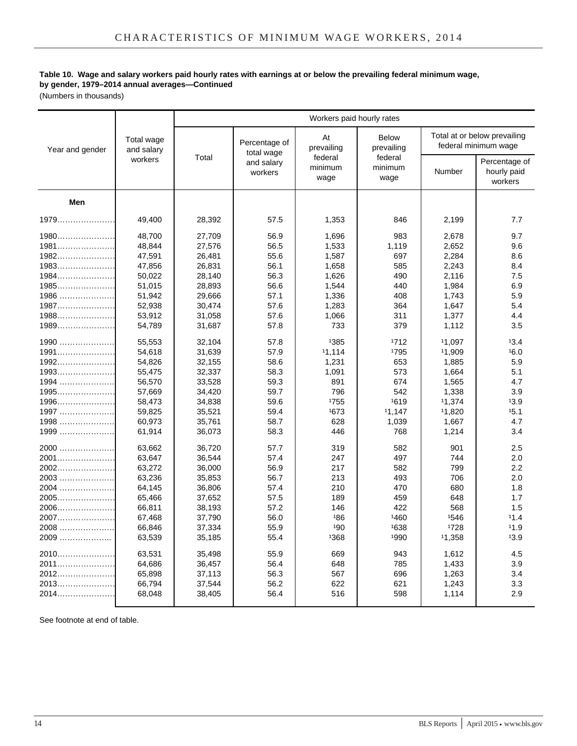## **Table 10. Wage and salary workers paid hourly rates with earnings at or below the prevailing federal minimum wage, by gender, 1979–2014 annual averages—Continued**

(Numbers in thousands)

|                 |                          | Workers paid hourly rates |                             |                             |                                |        |                                                      |  |  |  |
|-----------------|--------------------------|---------------------------|-----------------------------|-----------------------------|--------------------------------|--------|------------------------------------------------------|--|--|--|
| Year and gender | Total wage<br>and salary | Total                     | Percentage of<br>total wage | At<br>prevailing<br>federal | Below<br>prevailing<br>federal |        | Total at or below prevailing<br>federal minimum wage |  |  |  |
|                 | workers                  |                           | and salary<br>workers       | minimum<br>wage             | minimum<br>wage                | Number | Percentage of<br>hourly paid<br>workers              |  |  |  |
| Men             |                          |                           |                             |                             |                                |        |                                                      |  |  |  |
| 1979            | 49.400                   | 28,392                    | 57.5                        | 1,353                       | 846                            | 2,199  | 7.7                                                  |  |  |  |
| 1980            | 48,700                   | 27,709                    | 56.9                        | 1,696                       | 983                            | 2,678  | 9.7                                                  |  |  |  |
| 1981            | 48,844                   | 27,576                    | 56.5                        | 1,533                       | 1,119                          | 2,652  | 9.6                                                  |  |  |  |
| 1982            | 47,591                   | 26,481                    | 55.6                        | 1,587                       | 697                            | 2,284  | 8.6                                                  |  |  |  |
| 1983            | 47,856                   | 26,831                    | 56.1                        | 1,658                       | 585                            | 2,243  | 8.4                                                  |  |  |  |
| 1984            | 50,022                   | 28,140                    | 56.3                        | 1,626                       | 490                            | 2,116  | 7.5                                                  |  |  |  |
| $1985$          | 51,015                   | 28,893                    | 56.6                        | 1,544                       | 440                            | 1,984  | 6.9                                                  |  |  |  |
| 1986            | 51,942                   | 29,666                    | 57.1                        | 1,336                       | 408                            | 1,743  | 5.9                                                  |  |  |  |
| 1987            | 52,938                   | 30,474                    | 57.6                        | 1,283                       | 364                            | 1,647  | 5.4                                                  |  |  |  |
| 1988            | 53,912                   | 31,058                    | 57.6                        | 1,066                       | 311                            | 1,377  | 4.4                                                  |  |  |  |
| 1989            | 54,789                   | 31,687                    | 57.8                        | 733                         | 379                            | 1,112  | 3.5                                                  |  |  |  |
| 1990            | 55,553                   | 32,104                    | 57.8                        | 1385                        | 1712                           | 11,097 | 13.4                                                 |  |  |  |
| 1991            | 54,618                   | 31,639                    | 57.9                        | 11,114                      | 1795                           | 11,909 | 16.0                                                 |  |  |  |
| 1992            | 54.826                   | 32,155                    | 58.6                        | 1,231                       | 653                            | 1,885  | 5.9                                                  |  |  |  |
| 1993            | 55,475                   | 32,337                    | 58.3                        | 1,091                       | 573                            | 1.664  | 5.1                                                  |  |  |  |
| 1994            | 56,570                   | 33,528                    | 59.3                        | 891                         | 674                            | 1,565  | 4.7                                                  |  |  |  |
| 1995            | 57,669                   | 34,420                    | 59.7                        | 796                         | 542                            | 1,338  | 3.9                                                  |  |  |  |
| 1996            | 58,473                   | 34,838                    | 59.6                        | 1755                        | 1619                           | 11.374 | 13.9                                                 |  |  |  |
| 1997            | 59,825                   | 35,521                    | 59.4                        | 1673                        | 11.147                         | 11.820 | 15.1                                                 |  |  |  |
| 1998            | 60,973                   | 35,761                    | 58.7                        | 628                         | 1.039                          | 1,667  | 4.7                                                  |  |  |  |
| 1999            | 61,914                   | 36,073                    | 58.3                        | 446                         | 768                            | 1,214  | 3.4                                                  |  |  |  |
|                 | 63,662                   | 36,720                    | 57.7                        | 319                         | 582                            | 901    | 2.5                                                  |  |  |  |
| 2001            | 63,647                   | 36,544                    | 57.4                        | 247                         | 497                            | 744    | 2.0                                                  |  |  |  |
| 2002            | 63,272                   | 36,000                    | 56.9                        | 217                         | 582                            | 799    | 2.2                                                  |  |  |  |
| 2003            | 63,236                   | 35,853                    | 56.7                        | 213                         | 493                            | 706    | 2.0                                                  |  |  |  |
| 2004            | 64,145                   | 36,806                    | 57.4                        | 210                         | 470                            | 680    | 1.8                                                  |  |  |  |
| 2005            | 65,466                   | 37,652                    | 57.5                        | 189                         | 459                            | 648    | 1.7                                                  |  |  |  |
| 2006            | 66,811                   | 38,193                    | 57.2                        | 146                         | 422                            | 568    | 1.5                                                  |  |  |  |
| 2007            | 67,468                   | 37,790                    | 56.0                        | 186                         | 1460                           | 1546   | 11.4                                                 |  |  |  |
| 2008            | 66,846                   | 37,334                    | 55.9                        | 190                         | 1638                           | 1728   | 11.9                                                 |  |  |  |
| 2009            | 63,539                   | 35,185                    | 55.4                        | 1368                        | 1990                           | 11,358 | 13.9                                                 |  |  |  |
| 2010            | 63,531                   | 35,498                    | 55.9                        | 669                         | 943                            | 1,612  | 4.5                                                  |  |  |  |
| 2011            | 64,686                   | 36,457                    | 56.4                        | 648                         | 785                            | 1,433  | 3.9                                                  |  |  |  |
|                 | 65,898                   | 37,113                    | 56.3                        | 567                         | 696                            | 1,263  | 3.4                                                  |  |  |  |
| 2013            | 66,794                   | 37,544                    | 56.2                        | 622                         | 621                            | 1,243  | 3.3                                                  |  |  |  |
| 2014            | 68,048                   | 38,405                    | 56.4                        | 516                         | 598                            | 1,114  | 2.9                                                  |  |  |  |

See footnote at end of table.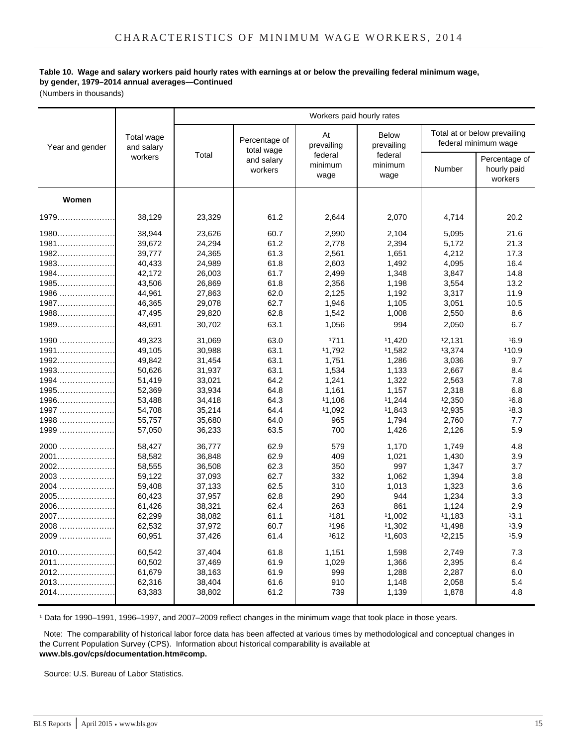## **Table 10. Wage and salary workers paid hourly rates with earnings at or below the prevailing federal minimum wage, by gender, 1979–2014 annual averages—Continued**

(Numbers in thousands)

|                 | Total wage<br>and salary<br>workers | Workers paid hourly rates |                                                      |                                                |                                                          |                                                      |                                         |
|-----------------|-------------------------------------|---------------------------|------------------------------------------------------|------------------------------------------------|----------------------------------------------------------|------------------------------------------------------|-----------------------------------------|
| Year and gender |                                     | Total                     | Percentage of<br>total wage<br>and salary<br>workers | At<br>prevailing<br>federal<br>minimum<br>wage | <b>Below</b><br>prevailing<br>federal<br>minimum<br>wage | Total at or below prevailing<br>federal minimum wage |                                         |
|                 |                                     |                           |                                                      |                                                |                                                          | Number                                               | Percentage of<br>hourly paid<br>workers |
| Women           |                                     |                           |                                                      |                                                |                                                          |                                                      |                                         |
|                 | 38,129                              | 23,329                    | 61.2                                                 | 2,644                                          | 2,070                                                    | 4,714                                                | 20.2                                    |
| $1980$          | 38.944                              | 23,626                    | 60.7                                                 | 2,990                                          | 2,104                                                    | 5,095                                                | 21.6                                    |
| 1981            | 39,672                              | 24,294                    | 61.2                                                 | 2,778                                          | 2,394                                                    | 5,172                                                | 21.3                                    |
| 1982            | 39,777                              | 24,365                    | 61.3                                                 | 2,561                                          | 1,651                                                    | 4,212                                                | 17.3                                    |
| 1983            | 40,433                              | 24,989                    | 61.8                                                 | 2,603                                          | 1,492                                                    | 4,095                                                | 16.4                                    |
| 1984            | 42,172                              | 26,003                    | 61.7                                                 | 2,499                                          | 1,348                                                    | 3,847                                                | 14.8                                    |
| 1985            | 43,506                              | 26,869                    | 61.8                                                 | 2,356                                          | 1,198                                                    | 3,554                                                | 13.2                                    |
| $1986$          | 44,961                              | 27,863                    | 62.0                                                 | 2,125                                          | 1,192                                                    | 3,317                                                | 11.9                                    |
| 1987            | 46,365                              | 29,078                    | 62.7                                                 | 1,946                                          | 1,105                                                    | 3,051                                                | 10.5                                    |
| 1988            | 47,495                              | 29,820                    | 62.8                                                 | 1,542                                          | 1,008                                                    | 2,550                                                | 8.6                                     |
| 1989            | 48,691                              | 30,702                    | 63.1                                                 | 1,056                                          | 994                                                      | 2,050                                                | 6.7                                     |
| $1990$          | 49,323                              | 31,069                    | 63.0                                                 | 1711                                           | 11,420                                                   | 12,131                                               | 16.9                                    |
| 1991            | 49,105                              | 30,988                    | 63.1                                                 | 11.792                                         | 11,582                                                   | 13,374                                               | 110.9                                   |
| 1992            | 49,842                              | 31,454                    | 63.1                                                 | 1,751                                          | 1,286                                                    | 3,036                                                | 9.7                                     |
| 1993            | 50,626                              | 31,937                    | 63.1                                                 | 1,534                                          | 1,133                                                    | 2,667                                                | 8.4                                     |
| 1994            | 51,419                              | 33,021                    | 64.2                                                 | 1,241                                          | 1,322                                                    | 2,563                                                | 7.8                                     |
| 1995            | 52,369                              | 33,934                    | 64.8                                                 | 1,161                                          | 1,157                                                    | 2,318                                                | 6.8                                     |
| 1996            | 53,488                              | 34,418                    | 64.3                                                 | 11,106                                         | 11,244                                                   | 12,350                                               | 16.8                                    |
| 1997            | 54,708                              | 35,214                    | 64.4                                                 | 11,092                                         | 11,843                                                   | 12,935                                               | 18.3                                    |
| 1998            | 55,757                              | 35,680                    | 64.0                                                 | 965                                            | 1,794                                                    | 2,760                                                | 7.7                                     |
| 1999            | 57,050                              | 36,233                    | 63.5                                                 | 700                                            | 1,426                                                    | 2,126                                                | 5.9                                     |
| 2000            | 58,427                              | 36,777                    | 62.9                                                 | 579                                            | 1,170                                                    | 1,749                                                | 4.8                                     |
| 2001            | 58,582                              | 36,848                    | 62.9                                                 | 409                                            | 1,021                                                    | 1,430                                                | 3.9                                     |
| 2002            | 58,555                              | 36,508                    | 62.3                                                 | 350                                            | 997                                                      | 1,347                                                | 3.7                                     |
| 2003            | 59,122                              | 37,093                    | 62.7                                                 | 332                                            | 1,062                                                    | 1,394                                                | 3.8                                     |
| 2004            | 59,408                              | 37,133                    | 62.5                                                 | 310                                            | 1,013                                                    | 1,323                                                | 3.6                                     |
| 2005            | 60,423                              | 37,957                    | 62.8                                                 | 290                                            | 944                                                      | 1,234                                                | 3.3                                     |
| 2006            | 61,426                              | 38,321                    | 62.4                                                 | 263                                            | 861                                                      | 1,124                                                | 2.9                                     |
| 2007            | 62,299                              | 38,082                    | 61.1                                                 | 1181                                           | 11,002                                                   | 11,183                                               | 13.1                                    |
| 2008            | 62,532                              | 37,972                    | 60.7                                                 | 1196                                           | 11,302                                                   | 11,498                                               | 13.9                                    |
| 2009            | 60,951                              | 37,426                    | 61.4                                                 | 1612                                           | 11,603                                                   | 12,215                                               | 15.9                                    |
| 2010            | 60,542                              | 37,404                    | 61.8                                                 | 1,151                                          | 1,598                                                    | 2,749                                                | 7.3                                     |
| 2011            | 60,502                              | 37,469                    | 61.9                                                 | 1,029                                          | 1,366                                                    | 2,395                                                | 6.4                                     |
| 2012            | 61,679                              | 38,163                    | 61.9                                                 | 999                                            | 1,288                                                    | 2,287                                                | 6.0                                     |
| 2013            | 62,316                              | 38,404                    | 61.6                                                 | 910                                            | 1,148                                                    | 2,058                                                | 5.4                                     |
| 2014            | 63,383                              | 38,802                    | 61.2                                                 | 739                                            | 1,139                                                    | 1,878                                                | 4.8                                     |

<sup>1</sup> Data for 1990–1991, 1996–1997, and 2007–2009 reflect changes in the minimum wage that took place in those years.

 Note: The comparability of historical labor force data has been affected at various times by methodological and conceptual changes in the Current Population Survey (CPS). Information about historical comparability is available at **www.bls.gov/cps/documentation.htm#comp.**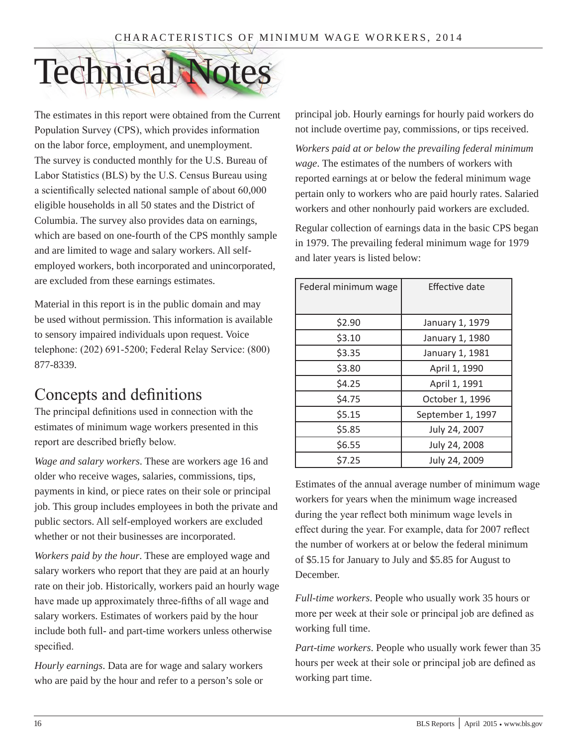# Technical Notes

The estimates in this report were obtained from the Current Population Survey (CPS), which provides information on the labor force, employment, and unemployment. The survey is conducted monthly for the U.S. Bureau of Labor Statistics (BLS) by the U.S. Census Bureau using a scientifically selected national sample of about 60,000 eligible households in all 50 states and the District of Columbia. The survey also provides data on earnings, which are based on one-fourth of the CPS monthly sample and are limited to wage and salary workers. All selfemployed workers, both incorporated and unincorporated, are excluded from these earnings estimates.

Material in this report is in the public domain and may be used without permission. This information is available to sensory impaired individuals upon request. Voice telephone: (202) 691-5200; Federal Relay Service: (800) 877-8339.

## Concepts and definitions

The principal definitions used in connection with the estimates of minimum wage workers presented in this report are described briefly below.

*Wage and salary workers*. These are workers age 16 and older who receive wages, salaries, commissions, tips, payments in kind, or piece rates on their sole or principal job. This group includes employees in both the private and public sectors. All self-employed workers are excluded whether or not their businesses are incorporated.

*Workers paid by the hour*. These are employed wage and salary workers who report that they are paid at an hourly rate on their job. Historically, workers paid an hourly wage have made up approximately three-fifths of all wage and salary workers. Estimates of workers paid by the hour include both full- and part-time workers unless otherwise specified.

*Hourly earnings*. Data are for wage and salary workers who are paid by the hour and refer to a person's sole or principal job. Hourly earnings for hourly paid workers do not include overtime pay, commissions, or tips received.

*Workers paid at or below the prevailing federal minimum wage*. The estimates of the numbers of workers with reported earnings at or below the federal minimum wage pertain only to workers who are paid hourly rates. Salaried workers and other nonhourly paid workers are excluded.

Regular collection of earnings data in the basic CPS began in 1979. The prevailing federal minimum wage for 1979 and later years is listed below:

| Federal minimum wage | Effective date    |
|----------------------|-------------------|
| \$2.90               | January 1, 1979   |
| \$3.10               | January 1, 1980   |
| \$3.35               | January 1, 1981   |
| \$3.80               | April 1, 1990     |
| \$4.25               | April 1, 1991     |
| \$4.75               | October 1, 1996   |
| \$5.15               | September 1, 1997 |
| \$5.85               | July 24, 2007     |
| \$6.55               | July 24, 2008     |
| \$7.25               | July 24, 2009     |

Estimates of the annual average number of minimum wage workers for years when the minimum wage increased during the year reflect both minimum wage levels in effect during the year. For example, data for 2007 reflect the number of workers at or below the federal minimum of \$5.15 for January to July and \$5.85 for August to December.

*Full-time workers*. People who usually work 35 hours or more per week at their sole or principal job are defined as working full time.

*Part-time workers*. People who usually work fewer than 35 hours per week at their sole or principal job are defined as working part time.